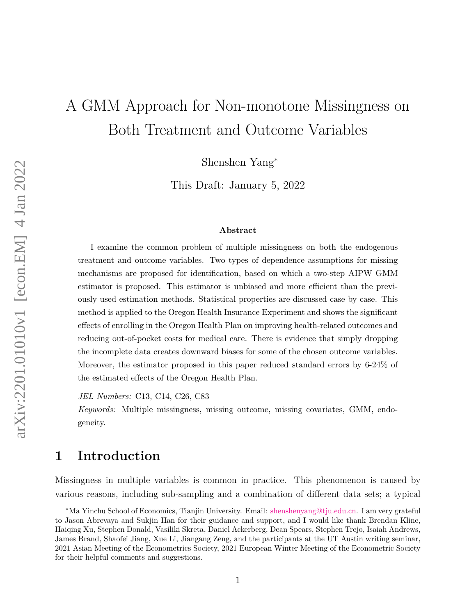# A GMM Approach for Non-monotone Missingness on Both Treatment and Outcome Variables

Shenshen Yang<sup>∗</sup>

This Draft: January 5, 2022

#### **Abstract**

I examine the common problem of multiple missingness on both the endogenous treatment and outcome variables. Two types of dependence assumptions for missing mechanisms are proposed for identification, based on which a two-step AIPW GMM estimator is proposed. This estimator is unbiased and more efficient than the previously used estimation methods. Statistical properties are discussed case by case. This method is applied to the Oregon Health Insurance Experiment and shows the significant effects of enrolling in the Oregon Health Plan on improving health-related outcomes and reducing out-of-pocket costs for medical care. There is evidence that simply dropping the incomplete data creates downward biases for some of the chosen outcome variables. Moreover, the estimator proposed in this paper reduced standard errors by 6-24% of the estimated effects of the Oregon Health Plan.

*JEL Numbers:* C13, C14, C26, C83

*Keywords:* Multiple missingness, missing outcome, missing covariates, GMM, endogeneity.

# <span id="page-0-0"></span>**1 Introduction**

Missingness in multiple variables is common in practice. This phenomenon is caused by various reasons, including sub-sampling and a combination of different data sets; a typical

<sup>∗</sup>Ma Yinchu School of Economics, Tianjin University. Email: [shenshenyang@tju.edu.cn.](http://shenshenyang@tju.edu.cn) I am very grateful to Jason Abrevaya and Sukjin Han for their guidance and support, and I would like thank Brendan Kline, Haiqing Xu, Stephen Donald, Vasiliki Skreta, Daniel Ackerberg, Dean Spears, Stephen Trejo, Isaiah Andrews, James Brand, Shaofei Jiang, Xue Li, Jiangang Zeng, and the participants at the UT Austin writing seminar, 2021 Asian Meeting of the Econometrics Society, 2021 European Winter Meeting of the Econometric Society for their helpful comments and suggestions.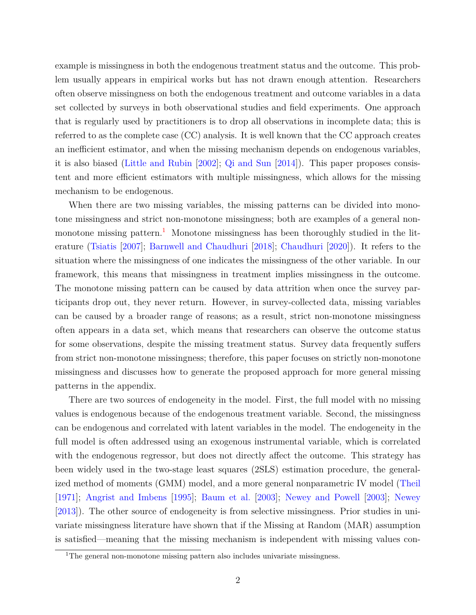example is missingness in both the endogenous treatment status and the outcome. This problem usually appears in empirical works but has not drawn enough attention. Researchers often observe missingness on both the endogenous treatment and outcome variables in a data set collected by surveys in both observational studies and field experiments. One approach that is regularly used by practitioners is to drop all observations in incomplete data; this is referred to as the complete case (CC) analysis. It is well known that the CC approach creates an inefficient estimator, and when the missing mechanism depends on endogenous variables, it is also biased [\(Little and Rubin](#page-57-0) [\[2002\]](#page-57-0); [Qi and Sun](#page-57-1) [\[2014\]](#page-57-1)). This paper proposes consistent and more efficient estimators with multiple missingness, which allows for the missing mechanism to be endogenous.

When there are two missing variables, the missing patterns can be divided into monotone missingness and strict non-monotone missingness; both are examples of a general non-monotone missing pattern.<sup>[1](#page-1-0)</sup> Monotone missingness has been thoroughly studied in the literature [\(Tsiatis](#page-58-0) [\[2007\]](#page-58-0); [Barnwell and Chaudhuri](#page-55-0) [\[2018\]](#page-55-0); [Chaudhuri](#page-56-0) [\[2020\]](#page-56-0)). It refers to the situation where the missingness of one indicates the missingness of the other variable. In our framework, this means that missingness in treatment implies missingness in the outcome. The monotone missing pattern can be caused by data attrition when once the survey participants drop out, they never return. However, in survey-collected data, missing variables can be caused by a broader range of reasons; as a result, strict non-monotone missingness often appears in a data set, which means that researchers can observe the outcome status for some observations, despite the missing treatment status. Survey data frequently suffers from strict non-monotone missingness; therefore, this paper focuses on strictly non-monotone missingness and discusses how to generate the proposed approach for more general missing patterns in the appendix.

There are two sources of endogeneity in the model. First, the full model with no missing values is endogenous because of the endogenous treatment variable. Second, the missingness can be endogenous and correlated with latent variables in the model. The endogeneity in the full model is often addressed using an exogenous instrumental variable, which is correlated with the endogenous regressor, but does not directly affect the outcome. This strategy has been widely used in the two-stage least squares (2SLS) estimation procedure, the generalized method of moments (GMM) model, and a more general nonparametric IV model [\(Theil](#page-58-1) [\[1971\]](#page-58-1); [Angrist and Imbens](#page-55-1) [\[1995\]](#page-55-1); [Baum et al.](#page-55-2) [\[2003\]](#page-55-2); [Newey and Powell](#page-57-2) [\[2003\]](#page-57-2); [Newey](#page-57-3) [\[2013\]](#page-57-3)). The other source of endogeneity is from selective missingness. Prior studies in univariate missingness literature have shown that if the Missing at Random (MAR) assumption is satisfied—meaning that the missing mechanism is independent with missing values con-

<span id="page-1-0"></span><sup>&</sup>lt;sup>1</sup>The general non-monotone missing pattern also includes univariate missingness.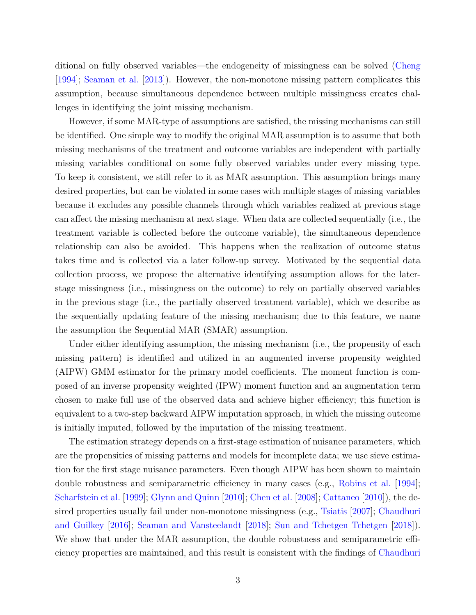ditional on fully observed variables—the endogeneity of missingness can be solved [\(Cheng](#page-56-1) [\[1994\]](#page-56-1); [Seaman et al.](#page-58-2) [\[2013\]](#page-58-2)). However, the non-monotone missing pattern complicates this assumption, because simultaneous dependence between multiple missingness creates challenges in identifying the joint missing mechanism.

However, if some MAR-type of assumptions are satisfied, the missing mechanisms can still be identified. One simple way to modify the original MAR assumption is to assume that both missing mechanisms of the treatment and outcome variables are independent with partially missing variables conditional on some fully observed variables under every missing type. To keep it consistent, we still refer to it as MAR assumption. This assumption brings many desired properties, but can be violated in some cases with multiple stages of missing variables because it excludes any possible channels through which variables realized at previous stage can affect the missing mechanism at next stage. When data are collected sequentially (i.e., the treatment variable is collected before the outcome variable), the simultaneous dependence relationship can also be avoided. This happens when the realization of outcome status takes time and is collected via a later follow-up survey. Motivated by the sequential data collection process, we propose the alternative identifying assumption allows for the laterstage missingness (i.e., missingness on the outcome) to rely on partially observed variables in the previous stage (i.e., the partially observed treatment variable), which we describe as the sequentially updating feature of the missing mechanism; due to this feature, we name the assumption the Sequential MAR (SMAR) assumption.

Under either identifying assumption, the missing mechanism (i.e., the propensity of each missing pattern) is identified and utilized in an augmented inverse propensity weighted (AIPW) GMM estimator for the primary model coefficients. The moment function is composed of an inverse propensity weighted (IPW) moment function and an augmentation term chosen to make full use of the observed data and achieve higher efficiency; this function is equivalent to a two-step backward AIPW imputation approach, in which the missing outcome is initially imputed, followed by the imputation of the missing treatment.

The estimation strategy depends on a first-stage estimation of nuisance parameters, which are the propensities of missing patterns and models for incomplete data; we use sieve estimation for the first stage nuisance parameters. Even though AIPW has been shown to maintain double robustness and semiparametric efficiency in many cases (e.g., [Robins et al.](#page-57-4) [\[1994\]](#page-57-4); [Scharfstein et al.](#page-58-3) [\[1999\]](#page-58-3); [Glynn and Quinn](#page-56-2) [\[2010\]](#page-56-2); [Chen et al.](#page-56-3) [\[2008\]](#page-56-3); [Cattaneo](#page-56-4) [\[2010\]](#page-56-4)), the desired properties usually fail under non-monotone missingness (e.g., [Tsiatis](#page-58-0) [\[2007\]](#page-58-0); [Chaudhuri](#page-56-5) [and Guilkey](#page-56-5) [\[2016\]](#page-56-5); [Seaman and Vansteelandt](#page-58-4) [\[2018\]](#page-58-4); [Sun and Tchetgen Tchetgen](#page-58-5) [\[2018\]](#page-58-5)). We show that under the MAR assumption, the double robustness and semiparametric efficiency properties are maintained, and this result is consistent with the findings of [Chaudhuri](#page-56-5)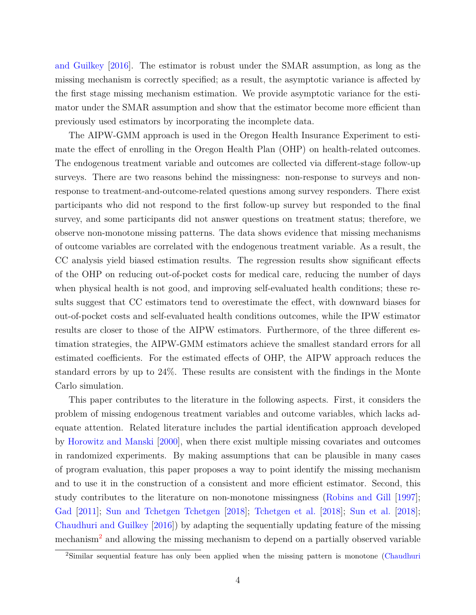[and Guilkey](#page-56-5) [\[2016\]](#page-56-5). The estimator is robust under the SMAR assumption, as long as the missing mechanism is correctly specified; as a result, the asymptotic variance is affected by the first stage missing mechanism estimation. We provide asymptotic variance for the estimator under the SMAR assumption and show that the estimator become more efficient than previously used estimators by incorporating the incomplete data.

The AIPW-GMM approach is used in the Oregon Health Insurance Experiment to estimate the effect of enrolling in the Oregon Health Plan (OHP) on health-related outcomes. The endogenous treatment variable and outcomes are collected via different-stage follow-up surveys. There are two reasons behind the missingness: non-response to surveys and nonresponse to treatment-and-outcome-related questions among survey responders. There exist participants who did not respond to the first follow-up survey but responded to the final survey, and some participants did not answer questions on treatment status; therefore, we observe non-monotone missing patterns. The data shows evidence that missing mechanisms of outcome variables are correlated with the endogenous treatment variable. As a result, the CC analysis yield biased estimation results. The regression results show significant effects of the OHP on reducing out-of-pocket costs for medical care, reducing the number of days when physical health is not good, and improving self-evaluated health conditions; these results suggest that CC estimators tend to overestimate the effect, with downward biases for out-of-pocket costs and self-evaluated health conditions outcomes, while the IPW estimator results are closer to those of the AIPW estimators. Furthermore, of the three different estimation strategies, the AIPW-GMM estimators achieve the smallest standard errors for all estimated coefficients. For the estimated effects of OHP, the AIPW approach reduces the standard errors by up to 24%. These results are consistent with the findings in the Monte Carlo simulation.

This paper contributes to the literature in the following aspects. First, it considers the problem of missing endogenous treatment variables and outcome variables, which lacks adequate attention. Related literature includes the partial identification approach developed by [Horowitz and Manski](#page-57-5) [\[2000\]](#page-57-5), when there exist multiple missing covariates and outcomes in randomized experiments. By making assumptions that can be plausible in many cases of program evaluation, this paper proposes a way to point identify the missing mechanism and to use it in the construction of a consistent and more efficient estimator. Second, this study contributes to the literature on non-monotone missingness [\(Robins and Gill](#page-57-6) [\[1997\]](#page-57-6); [Gad](#page-56-6) [\[2011\]](#page-56-6); [Sun and Tchetgen Tchetgen](#page-58-5) [\[2018\]](#page-58-7); [Tchetgen et al.](#page-58-6) [2018]; [Sun et al.](#page-58-7) [2018]; [Chaudhuri and Guilkey](#page-56-5) [\[2016\]](#page-56-5)) by adapting the sequentially updating feature of the missing mechanism<sup>[2](#page-3-0)</sup> and allowing the missing mechanism to depend on a partially observed variable

<span id="page-3-0"></span><sup>2</sup>Similar sequential feature has only been applied when the missing pattern is monotone [\(Chaudhuri](#page-56-0)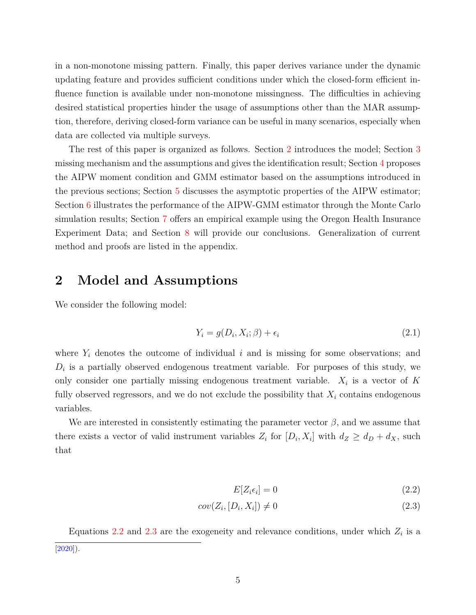in a non-monotone missing pattern. Finally, this paper derives variance under the dynamic updating feature and provides sufficient conditions under which the closed-form efficient influence function is available under non-monotone missingness. The difficulties in achieving desired statistical properties hinder the usage of assumptions other than the MAR assumption, therefore, deriving closed-form variance can be useful in many scenarios, especially when data are collected via multiple surveys.

The rest of this paper is organized as follows. Section [2](#page-4-0) introduces the model; Section [3](#page-5-0) missing mechanism and the assumptions and gives the identification result; Section [4](#page-13-0) proposes the AIPW moment condition and GMM estimator based on the assumptions introduced in the previous sections; Section [5](#page-17-0) discusses the asymptotic properties of the AIPW estimator; Section [6](#page-21-0) illustrates the performance of the AIPW-GMM estimator through the Monte Carlo simulation results; Section [7](#page-22-0) offers an empirical example using the Oregon Health Insurance Experiment Data; and Section [8](#page-30-0) will provide our conclusions. Generalization of current method and proofs are listed in the appendix.

# <span id="page-4-0"></span>**2 Model and Assumptions**

We consider the following model:

$$
Y_i = g(D_i, X_i; \beta) + \epsilon_i \tag{2.1}
$$

where  $Y_i$  denotes the outcome of individual *i* and is missing for some observations; and  $D_i$  is a partially observed endogenous treatment variable. For purposes of this study, we only consider one partially missing endogenous treatment variable.  $X_i$  is a vector of  $K$ fully observed regressors, and we do not exclude the possibility that *X<sup>i</sup>* contains endogenous variables.

We are interested in consistently estimating the parameter vector  $\beta$ , and we assume that there exists a vector of valid instrument variables  $Z_i$  for  $[D_i, X_i]$  with  $d_Z \geq d_D + d_X$ , such that

<span id="page-4-2"></span><span id="page-4-1"></span>
$$
E[Z_i \epsilon_i] = 0 \tag{2.2}
$$

$$
cov(Z_i, [D_i, X_i]) \neq 0
$$
\n
$$
(2.3)
$$

Equations [2.2](#page-4-1) and [2.3](#page-4-2) are the exogeneity and relevance conditions, under which  $Z_i$  is a [\[2020\]](#page-56-0)).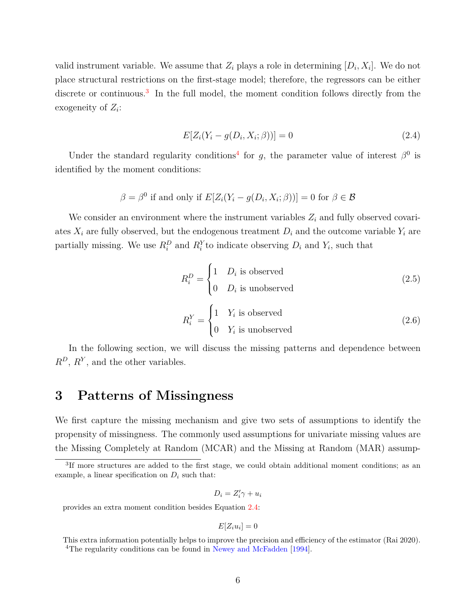valid instrument variable. We assume that  $Z_i$  plays a role in determining  $[D_i, X_i]$ . We do not place structural restrictions on the first-stage model; therefore, the regressors can be either discrete or continuous.<sup>[3](#page-5-1)</sup> In the full model, the moment condition follows directly from the exogeneity of *Z<sup>i</sup>* :

<span id="page-5-3"></span>
$$
E[Z_i(Y_i - g(D_i, X_i; \beta))] = 0
$$
\n(2.4)

Under the standard regularity conditions<sup>[4](#page-5-2)</sup> for *g*, the parameter value of interest  $\beta^0$  is identified by the moment conditions:

$$
\beta = \beta^0
$$
 if and only if  $E[Z_i(Y_i - g(D_i, X_i; \beta))] = 0$  for  $\beta \in \mathcal{B}$ 

We consider an environment where the instrument variables  $Z_i$  and fully observed covariates  $X_i$  are fully observed, but the endogenous treatment  $D_i$  and the outcome variable  $Y_i$  are partially missing. We use  $R_i^D$  and  $R_i^Y$  to indicate observing  $D_i$  and  $Y_i$ , such that

$$
R_i^D = \begin{cases} 1 & D_i \text{ is observed} \\ 0 & D_i \text{ is unobserved} \end{cases}
$$
 (2.5)

$$
R_i^Y = \begin{cases} 1 & Y_i \text{ is observed} \\ 0 & Y_i \text{ is unobserved} \end{cases}
$$
 (2.6)

In the following section, we will discuss the missing patterns and dependence between *R<sup>D</sup>*, *R<sup>Y</sup>* , and the other variables.

# <span id="page-5-0"></span>**3 Patterns of Missingness**

We first capture the missing mechanism and give two sets of assumptions to identify the propensity of missingness. The commonly used assumptions for univariate missing values are the Missing Completely at Random (MCAR) and the Missing at Random (MAR) assump-

$$
D_i = Z'_i \gamma + u_i
$$

provides an extra moment condition besides Equation [2.4:](#page-5-3)

$$
E[Z_i u_i] = 0
$$

<span id="page-5-1"></span><sup>&</sup>lt;sup>3</sup>If more structures are added to the first stage, we could obtain additional moment conditions; as an example, a linear specification on  $D_i$  such that:

<span id="page-5-2"></span>This extra information potentially helps to improve the precision and efficiency of the estimator (Rai 2020). <sup>4</sup>The regularity conditions can be found in [Newey and McFadden](#page-57-7) [\[1994\]](#page-57-7).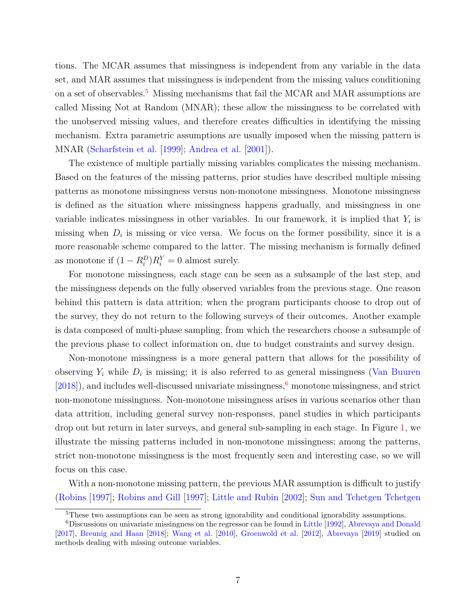tions. The MCAR assumes that missingness is independent from any variable in the data set, and MAR assumes that missingness is independent from the missing values conditioning on a set of observables.<sup>[5](#page-6-0)</sup> Missing mechanisms that fail the MCAR and MAR assumptions are called Missing Not at Random (MNAR); these allow the missingness to be correlated with the unobserved missing values, and therefore creates difficulties in identifying the missing mechanism. Extra parametric assumptions are usually imposed when the missing pattern is MNAR [\(Scharfstein et al.](#page-58-3) [\[1999\]](#page-58-3); [Andrea et al.](#page-55-3) [\[2001\]](#page-55-3)).

The existence of multiple partially missing variables complicates the missing mechanism. Based on the features of the missing patterns, prior studies have described multiple missing patterns as monotone missingness versus non-monotone missingness. Monotone missingness is defined as the situation where missingness happens gradually, and missingness in one variable indicates missingness in other variables. In our framework, it is implied that  $Y_i$  is missing when  $D_i$  is missing or vice versa. We focus on the former possibility, since it is a more reasonable scheme compared to the latter. The missing mechanism is formally defined as monotone if  $(1 - R_i^D)R_i^Y = 0$  almost surely.

For monotone missingness, each stage can be seen as a subsample of the last step, and the missingness depends on the fully observed variables from the previous stage. One reason behind this pattern is data attrition; when the program participants choose to drop out of the survey, they do not return to the following surveys of their outcomes. Another example is data composed of multi-phase sampling, from which the researchers choose a subsample of the previous phase to collect information on, due to budget constraints and survey design.

Non-monotone missingness is a more general pattern that allows for the possibility of observing  $Y_i$  while  $D_i$  is missing; it is also referred to as general missingness [\(Van Buuren](#page-58-8)  $[2018]$ , and includes well-discussed univariate missingness,<sup>[6](#page-6-1)</sup> monotone missingness, and strict non-monotone missingness. Non-monotone missingness arises in various scenarios other than data attrition, including general survey non-responses, panel studies in which participants drop out but return in later surveys, and general sub-sampling in each stage. In Figure [1,](#page-7-0) we illustrate the missing patterns included in non-monotone missingness; among the patterns, strict non-monotone missingness is the most frequently seen and interesting case, so we will focus on this case.

With a non-monotone missing pattern, the previous MAR assumption is difficult to justify [\(Robins](#page-57-8) [\[1997\]](#page-57-8); [Robins and Gill](#page-57-6) [\[1997\]](#page-57-6); [Little and Rubin](#page-57-0) [\[2002\]](#page-57-0); [Sun and Tchetgen Tchetgen](#page-58-5)

<span id="page-6-1"></span><span id="page-6-0"></span><sup>&</sup>lt;sup>5</sup>These two assumptions can be seen as strong ignorability and conditional ignorability assumptions.

<sup>6</sup>Discussions on univariate missingness on the regressor can be found in [Little](#page-57-9) [\[1992\]](#page-57-9), [Abrevaya and Donald](#page-55-4) [\[2017\]](#page-55-4), [Breunig and Haan](#page-56-7) [\[2018\]](#page-56-7); [Wang et al.](#page-58-9) [\[2010\]](#page-58-9), [Groenwold et al.](#page-56-8) [\[2012\]](#page-56-8), [Abrevaya](#page-55-5) [\[2019\]](#page-55-5) studied on methods dealing with missing outcome variables.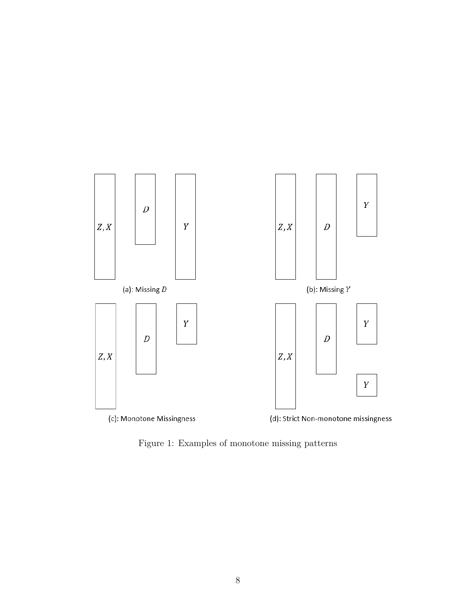<span id="page-7-0"></span>

Figure 1: Examples of monotone missing patterns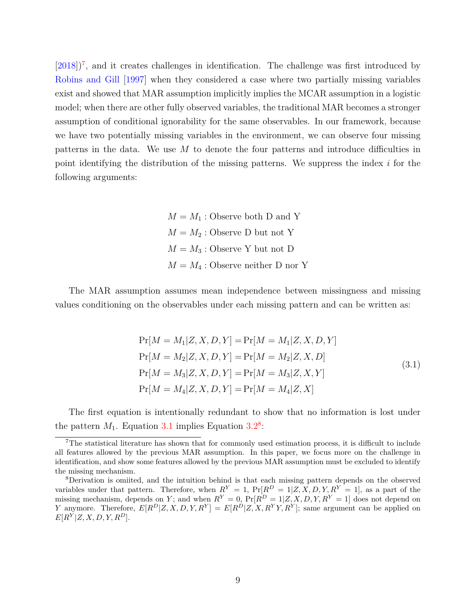$[2018]^7$  $[2018]^7$  $[2018]^7$ , and it creates challenges in identification. The challenge was first introduced by [Robins and Gill](#page-57-6) [\[1997\]](#page-57-6) when they considered a case where two partially missing variables exist and showed that MAR assumption implicitly implies the MCAR assumption in a logistic model; when there are other fully observed variables, the traditional MAR becomes a stronger assumption of conditional ignorability for the same observables. In our framework, because we have two potentially missing variables in the environment, we can observe four missing patterns in the data. We use *M* to denote the four patterns and introduce difficulties in point identifying the distribution of the missing patterns. We suppress the index *i* for the following arguments:

> $M = M_1$ : Observe both D and Y  $M = M_2$ : Observe D but not Y  $M = M_3$ : Observe Y but not D  $M = M_4$ : Observe neither D nor Y

The MAR assumption assumes mean independence between missingness and missing values conditioning on the observables under each missing pattern and can be written as:

$$
Pr[M = M_1 | Z, X, D, Y] = Pr[M = M_1 | Z, X, D, Y]
$$
  
\n
$$
Pr[M = M_2 | Z, X, D, Y] = Pr[M = M_2 | Z, X, D]
$$
  
\n
$$
Pr[M = M_3 | Z, X, D, Y] = Pr[M = M_3 | Z, X, Y]
$$
  
\n
$$
Pr[M = M_4 | Z, X, D, Y] = Pr[M = M_4 | Z, X]
$$
\n(3.1)

<span id="page-8-1"></span>The first equation is intentionally redundant to show that no information is lost under the pattern  $M_1$ . Equation [3.1](#page-8-1) implies Equation  $3.2^8$  $3.2^8$  $3.2^8$ :

<span id="page-8-0"></span><sup>7</sup>The statistical literature has shown that for commonly used estimation process, it is difficult to include all features allowed by the previous MAR assumption. In this paper, we focus more on the challenge in identification, and show some features allowed by the previous MAR assumption must be excluded to identify the missing mechanism.

<span id="page-8-2"></span><sup>8</sup>Derivation is omiited, and the intuition behind is that each missing pattern depends on the observed variables under that pattern. Therefore, when  $R^Y = 1$ ,  $Pr[R^D = 1|Z, X, D, Y, R^Y = 1]$ , as a part of the missing mechanism, depends on *Y*; and when  $R^Y = 0$ ,  $Pr[R^D = 1|Z, X, D, Y, R^Y = 1]$  does not depend on *Y* anymore. Therefore,  $E[R^D|Z, X, D, Y, R^Y] = E[R^D|Z, X, R^YY, R^Y]$ ; same argument can be applied on  $E[R^Y|Z, X, D, Y, R^D].$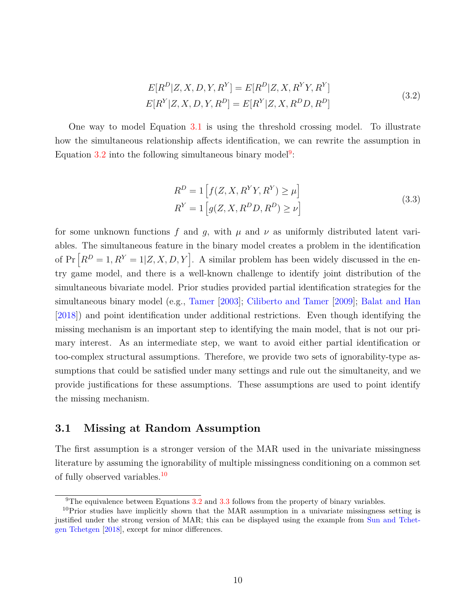$$
E[R^D|Z, X, D, Y, R^Y] = E[R^D|Z, X, R^YY, R^Y]
$$
  
\n
$$
E[R^Y|Z, X, D, Y, R^D] = E[R^Y|Z, X, R^D D, R^D]
$$
\n(3.2)

<span id="page-9-0"></span>One way to model Equation [3.1](#page-8-1) is using the threshold crossing model. To illustrate how the simultaneous relationship affects identification, we can rewrite the assumption in Equation  $3.2$  into the following simultaneous binary model<sup>[9](#page-9-1)</sup>:

$$
R^{D} = 1 \left[ f(Z, X, R^{Y}Y, R^{Y}) \ge \mu \right]
$$
  
\n
$$
R^{Y} = 1 \left[ g(Z, X, R^{D}D, R^{D}) \ge \nu \right]
$$
\n(3.3)

<span id="page-9-3"></span>for some unknown functions f and g, with  $\mu$  and  $\nu$  as uniformly distributed latent variables. The simultaneous feature in the binary model creates a problem in the identification of  $Pr[R^D = 1, R^Y = 1 | Z, X, D, Y].$  A similar problem has been widely discussed in the entry game model, and there is a well-known challenge to identify joint distribution of the simultaneous bivariate model. Prior studies provided partial identification strategies for the simultaneous binary model (e.g., [Tamer](#page-58-10) [\[2003\]](#page-58-10); [Ciliberto and Tamer](#page-56-9) [\[2009\]](#page-56-9); [Balat and Han](#page-55-6) [\[2018\]](#page-55-6)) and point identification under additional restrictions. Even though identifying the missing mechanism is an important step to identifying the main model, that is not our primary interest. As an intermediate step, we want to avoid either partial identification or too-complex structural assumptions. Therefore, we provide two sets of ignorability-type assumptions that could be satisfied under many settings and rule out the simultaneity, and we provide justifications for these assumptions. These assumptions are used to point identify the missing mechanism.

#### <span id="page-9-4"></span>**3.1 Missing at Random Assumption**

The first assumption is a stronger version of the MAR used in the univariate missingness literature by assuming the ignorability of multiple missingness conditioning on a common set of fully observed variables.[10](#page-9-2)

<span id="page-9-2"></span><span id="page-9-1"></span><sup>&</sup>lt;sup>9</sup>The equivalence between Equations [3.2](#page-9-0) and [3.3](#page-9-3) follows from the property of binary variables.

 $10P$  Prior studies have implicitly shown that the MAR assumption in a univariate missingness setting is justified under the strong version of MAR; this can be displayed using the example from [Sun and Tchet](#page-58-5)[gen Tchetgen](#page-58-5) [\[2018\]](#page-58-5), except for minor differences.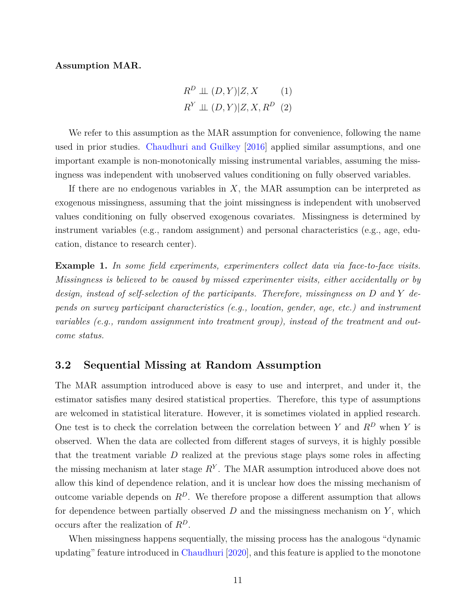#### **Assumption MAR.**

$$
R^{D} \perp (D, Y)|Z, X \qquad (1)
$$
  

$$
R^{Y} \perp (D, Y)|Z, X, R^{D} \quad (2)
$$

We refer to this assumption as the MAR assumption for convenience, following the name used in prior studies. [Chaudhuri and Guilkey](#page-56-5) [\[2016\]](#page-56-5) applied similar assumptions, and one important example is non-monotonically missing instrumental variables, assuming the missingness was independent with unobserved values conditioning on fully observed variables.

If there are no endogenous variables in *X*, the MAR assumption can be interpreted as exogenous missingness, assuming that the joint missingness is independent with unobserved values conditioning on fully observed exogenous covariates. Missingness is determined by instrument variables (e.g., random assignment) and personal characteristics (e.g., age, education, distance to research center).

**Example 1.** *In some field experiments, experimenters collect data via face-to-face visits. Missingness is believed to be caused by missed experimenter visits, either accidentally or by design, instead of self-selection of the participants. Therefore, missingness on D and Y depends on survey participant characteristics (e.g., location, gender, age, etc.) and instrument variables (e.g., random assignment into treatment group), instead of the treatment and outcome status.*

#### <span id="page-10-0"></span>**3.2 Sequential Missing at Random Assumption**

The MAR assumption introduced above is easy to use and interpret, and under it, the estimator satisfies many desired statistical properties. Therefore, this type of assumptions are welcomed in statistical literature. However, it is sometimes violated in applied research. One test is to check the correlation between the correlation between *Y* and *R<sup>D</sup>* when *Y* is observed. When the data are collected from different stages of surveys, it is highly possible that the treatment variable *D* realized at the previous stage plays some roles in affecting the missing mechanism at later stage *R<sup>Y</sup>* . The MAR assumption introduced above does not allow this kind of dependence relation, and it is unclear how does the missing mechanism of outcome variable depends on  $R^D$ . We therefore propose a different assumption that allows for dependence between partially observed *D* and the missingness mechanism on *Y* , which occurs after the realization of *R<sup>D</sup>*.

When missingness happens sequentially, the missing process has the analogous "dynamic updating" feature introduced in [Chaudhuri](#page-56-0) [\[2020\]](#page-56-0), and this feature is applied to the monotone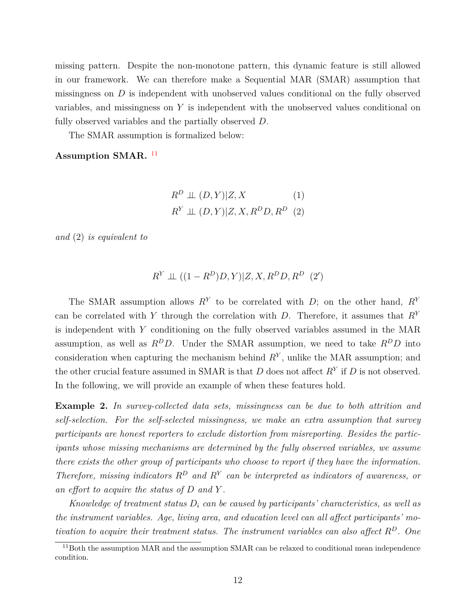missing pattern. Despite the non-monotone pattern, this dynamic feature is still allowed in our framework. We can therefore make a Sequential MAR (SMAR) assumption that missingness on *D* is independent with unobserved values conditional on the fully observed variables, and missingness on *Y* is independent with the unobserved values conditional on fully observed variables and the partially observed *D*.

The SMAR assumption is formalized below:

#### Assumption SMAR.<sup>[11](#page-11-0)</sup>

$$
R^{D} \perp (D, Y)|Z, X \qquad (1)
$$
  

$$
R^{Y} \perp (D, Y)|Z, X, R^{D}D, R^{D} \quad (2)
$$

*and* (2) *is equivalent to*

$$
R^Y \perp \!\!\! \perp ((1 - R^D)D, Y)|Z, X, R^D D, R^D \ \ (2')
$$

The SMAR assumption allows  $R<sup>Y</sup>$  to be correlated with *D*; on the other hand,  $R<sup>Y</sup>$ can be correlated with *Y* through the correlation with *D*. Therefore, it assumes that *R<sup>Y</sup>* is independent with *Y* conditioning on the fully observed variables assumed in the MAR assumption, as well as  $R^D D$ . Under the SMAR assumption, we need to take  $R^D D$  into consideration when capturing the mechanism behind  $R<sup>Y</sup>$ , unlike the MAR assumption; and the other crucial feature assumed in SMAR is that *D* does not affect *R<sup>Y</sup>* if *D* is not observed. In the following, we will provide an example of when these features hold.

**Example 2.** *In survey-collected data sets, missingness can be due to both attrition and self-selection. For the self-selected missingness, we make an extra assumption that survey participants are honest reporters to exclude distortion from misreporting. Besides the participants whose missing mechanisms are determined by the fully observed variables, we assume there exists the other group of participants who choose to report if they have the information. Therefore, missing indicators*  $R^D$  *and*  $R^Y$  *can be interpreted as indicators of awareness, or an effort to acquire the status of D and Y .*

*Knowledge of treatment status D<sup>i</sup> can be caused by participants' characteristics, as well as the instrument variables. Age, living area, and education level can all affect participants' motivation to acquire their treatment status. The instrument variables can also affect R<sup>D</sup>. One*

<span id="page-11-0"></span><sup>&</sup>lt;sup>11</sup>Both the assumption MAR and the assumption SMAR can be relaxed to conditional mean independence condition.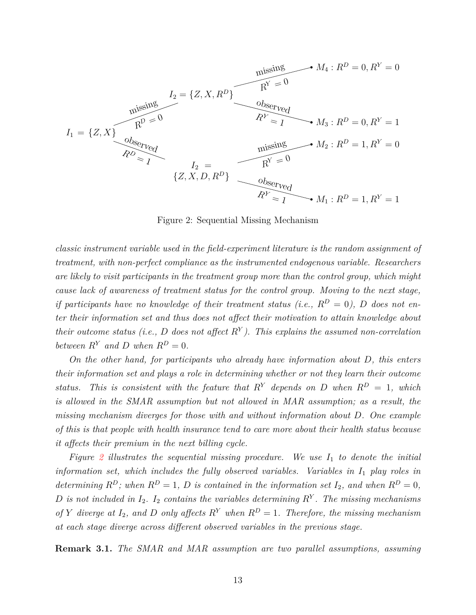<span id="page-12-0"></span>
$$
I_1 = \{Z, X\}
$$
\n
$$
I_2 = \{Z, X, R^D\}
$$
\n
$$
I_3 = \{Z, X\}
$$
\n
$$
I_4: R^D = 0, R^Y = 0
$$
\n
$$
R^Y = 0
$$
\n
$$
M_4: R^D = 0, R^Y = 0
$$
\n
$$
R^Y = 0
$$
\n
$$
M_5: R^D = 0, R^Y = 1
$$
\n
$$
M_6: R^D = 0, R^Y = 1
$$
\n
$$
M_7: R^D = 1, R^Y = 0
$$
\n
$$
I_8: R^D = 1, R^Y = 0
$$
\n
$$
I_9: R^V = 0
$$
\n
$$
I_1: R^D = 1, R^Y = 0
$$
\n
$$
I_2: R^D = 1, R^Y = 0
$$
\n
$$
I_3: R^D = 1, R^Y = 0
$$
\n
$$
I_4: R^D = 1, R^Y = 0
$$
\n
$$
I_5: R^V = 0
$$
\n
$$
I_6: R^V = 0
$$
\n
$$
I_7: R^V = 1
$$

Figure 2: Sequential Missing Mechanism

*classic instrument variable used in the field-experiment literature is the random assignment of treatment, with non-perfect compliance as the instrumented endogenous variable. Researchers are likely to visit participants in the treatment group more than the control group, which might cause lack of awareness of treatment status for the control group. Moving to the next stage, if participants have no knowledge of their treatment status (i.e.,*  $R^D = 0$ ), D does not en*ter their information set and thus does not affect their motivation to attain knowledge about their outcome status (i.e., D does not affect R<sup>Y</sup> ). This explains the assumed non-correlation between*  $R^Y$  *and D when*  $R^D = 0$ *.* 

*On the other hand, for participants who already have information about D, this enters their information set and plays a role in determining whether or not they learn their outcome status.* This is consistent with the feature that  $R^Y$  depends on D when  $R^D = 1$ , which *is allowed in the SMAR assumption but not allowed in MAR assumption; as a result, the missing mechanism diverges for those with and without information about D. One example of this is that people with health insurance tend to care more about their health status because it affects their premium in the next billing cycle.*

*Figure [2](#page-12-0) illustrates the sequential missing procedure. We use I*<sup>1</sup> *to denote the initial information set, which includes the fully observed variables. Variables in I*<sup>1</sup> *play roles in determining*  $R^D$ *; when*  $R^D = 1$ *, D is contained in the information set*  $I_2$ *, and when*  $R^D = 0$ *,*  $D$  *is not included in*  $I_2$ .  $I_2$  *contains the variables determining*  $R$ <sup>*Y*</sup>. The missing mechanisms *of Y* diverge at  $I_2$ , and *D only affects*  $R^Y$  *when*  $R^D = 1$ *. Therefore, the missing mechanism at each stage diverge across different observed variables in the previous stage.*

**Remark 3.1.** *The SMAR and MAR assumption are two parallel assumptions, assuming*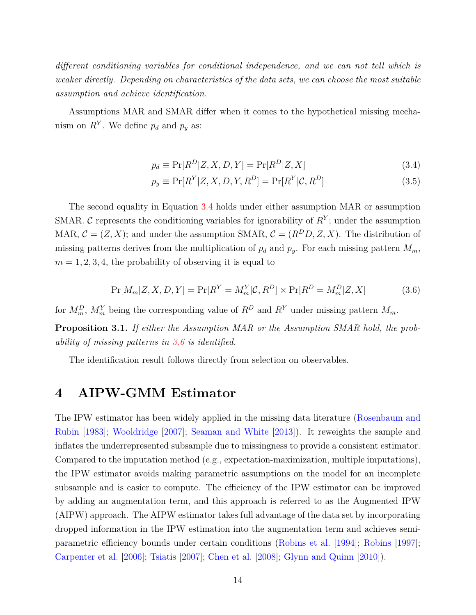*different conditioning variables for conditional independence, and we can not tell which is weaker directly. Depending on characteristics of the data sets, we can choose the most suitable assumption and achieve identification.*

Assumptions MAR and SMAR differ when it comes to the hypothetical missing mechanism on  $R^Y$ . We define  $p_d$  and  $p_y$  as:

<span id="page-13-1"></span>
$$
p_d \equiv \Pr[R^D|Z, X, D, Y] = \Pr[R^D|Z, X] \tag{3.4}
$$

$$
p_y \equiv \Pr[R^Y|Z, X, D, Y, R^D] = \Pr[R^Y|C, R^D]
$$
\n(3.5)

The second equality in Equation [3.4](#page-13-1) holds under either assumption MAR or assumption SMAR. C represents the conditioning variables for ignorability of  $R<sup>Y</sup>$ ; under the assumption MAR,  $C = (Z, X)$ ; and under the assumption SMAR,  $C = (R^D D, Z, X)$ . The distribution of missing patterns derives from the multiplication of  $p_d$  and  $p_y$ . For each missing pattern  $M_m$ ,  $m = 1, 2, 3, 4$ , the probability of observing it is equal to

<span id="page-13-2"></span>
$$
\Pr[M_m|Z, X, D, Y] = \Pr[R^Y = M_m^Y | \mathcal{C}, R^D] \times \Pr[R^D = M_m^D | Z, X] \tag{3.6}
$$

for  $M_m^D$ ,  $M_m^Y$  being the corresponding value of  $R^D$  and  $R^Y$  under missing pattern  $M_m$ .

**Proposition 3.1.** *If either the Assumption MAR or the Assumption SMAR hold, the probability of missing patterns in [3.6](#page-13-2) is identified.*

The identification result follows directly from selection on observables.

## <span id="page-13-0"></span>**4 AIPW-GMM Estimator**

The IPW estimator has been widely applied in the missing data literature [\(Rosenbaum and](#page-57-10) [Rubin](#page-57-10) [\[1983\]](#page-57-10); [Wooldridge](#page-59-0) [\[2007\]](#page-59-0); [Seaman and White](#page-58-11) [\[2013\]](#page-58-11)). It reweights the sample and inflates the underrepresented subsample due to missingness to provide a consistent estimator. Compared to the imputation method (e.g., expectation-maximization, multiple imputations), the IPW estimator avoids making parametric assumptions on the model for an incomplete subsample and is easier to compute. The efficiency of the IPW estimator can be improved by adding an augmentation term, and this approach is referred to as the Augmented IPW (AIPW) approach. The AIPW estimator takes full advantage of the data set by incorporating dropped information in the IPW estimation into the augmentation term and achieves semiparametric efficiency bounds under certain conditions [\(Robins et al.](#page-57-4) [\[1994\]](#page-57-4); [Robins](#page-57-8) [\[1997\]](#page-57-8); [Carpenter et al.](#page-56-10) [\[2006\]](#page-56-10); [Tsiatis](#page-58-0) [\[2007\]](#page-58-0); [Chen et al.](#page-56-3) [\[2008\]](#page-56-3); [Glynn and Quinn](#page-56-2) [\[2010\]](#page-56-2)).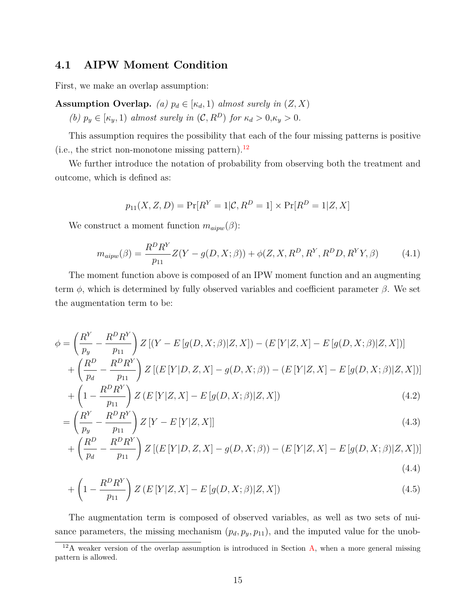## **4.1 AIPW Moment Condition**

First, we make an overlap assumption:

**Assumption Overlap.** *(a)*  $p_d \in [\kappa_d, 1]$  *almost surely in*  $(Z, X)$ *(b)*  $p_y \in [\kappa_y, 1)$  *almost surely in*  $(C, R^D)$  *for*  $\kappa_d > 0, \kappa_y > 0$ .

This assumption requires the possibility that each of the four missing patterns is positive (i.e., the strict non-monotone missing pattern). $^{12}$  $^{12}$  $^{12}$ 

We further introduce the notation of probability from observing both the treatment and outcome, which is defined as:

$$
p_{11}(X, Z, D) = \Pr[R^Y = 1 | \mathcal{C}, R^D = 1] \times \Pr[R^D = 1 | Z, X]
$$

We construct a moment function  $m_{aipw}(\beta)$ :

$$
m_{aipw}(\beta) = \frac{R^D R^Y}{p_{11}} Z(Y - g(D, X; \beta)) + \phi(Z, X, R^D, R^Y, R^D D, R^Y Y, \beta)
$$
(4.1)

The moment function above is composed of an IPW moment function and an augmenting term  $\phi$ , which is determined by fully observed variables and coefficient parameter  $\beta$ . We set the augmentation term to be:

$$
\phi = \left(\frac{R^Y}{p_y} - \frac{R^D R^Y}{p_{11}}\right) Z \left[ (Y - E[g(D, X; \beta)]Z, X] \right) - (E[Y|Z, X] - E[g(D, X; \beta)|Z, X])]
$$

$$
+ \left(\frac{R^D}{p_d} - \frac{R^D R^Y}{p_{11}}\right) Z \left[ (E[Y|D, Z, X] - g(D, X; \beta)) - (E[Y|Z, X] - E[g(D, X; \beta)|Z, X]) \right]
$$

$$
+\left(1-\frac{R^D R^Y}{p_{11}}\right)Z\left(E\left[Y|Z,X\right]-E\left[g(D,X;\beta)|Z,X\right]\right) \tag{4.2}
$$

$$
= \left(\frac{R^Y}{p_y} - \frac{R^D R^Y}{p_{11}}\right) Z\left[Y - E\left[Y|Z, X\right]\right]
$$
\n(4.3)

$$
+\left(\frac{R^D}{p_d} - \frac{R^D R^Y}{p_{11}}\right) Z \left[ (E \left[Y|D, Z, X\right] - g(D, X; \beta)) - (E \left[Y|Z, X\right] - E \left[g(D, X; \beta)|Z, X\right]) \right]
$$
\n(4.4)

$$
+\left(1-\frac{R^D R^Y}{p_{11}}\right)Z\left(E\left[Y|Z,X\right]-E\left[g(D,X;\beta)|Z,X\right]\right) \tag{4.5}
$$

The augmentation term is composed of observed variables, as well as two sets of nuisance parameters, the missing mechanism  $(p_d, p_y, p_{11})$ , and the imputed value for the unob-

<span id="page-14-0"></span> $12A$  weaker version of the overlap assumption is introduced in Section [A,](#page-33-0) when a more general missing pattern is allowed.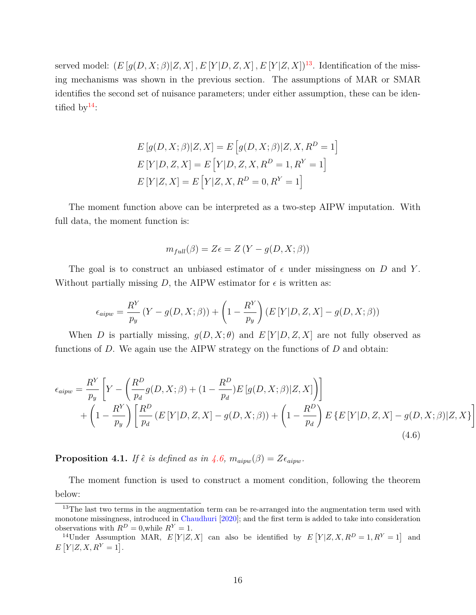served model:  $(E[g(D, X; \beta)|Z, X], E[Y|D, Z, X], E[Y|Z, X])^{13}$  $(E[g(D, X; \beta)|Z, X], E[Y|D, Z, X], E[Y|Z, X])^{13}$  $(E[g(D, X; \beta)|Z, X], E[Y|D, Z, X], E[Y|Z, X])^{13}$ . Identification of the missing mechanisms was shown in the previous section. The assumptions of MAR or SMAR identifies the second set of nuisance parameters; under either assumption, these can be identified by  $14$ :

$$
E[g(D, X; \beta)|Z, X] = E[g(D, X; \beta)|Z, X, R^{D} = 1]
$$
  
\n
$$
E[Y|D, Z, X] = E[Y|D, Z, X, R^{D} = 1, R^{Y} = 1]
$$
  
\n
$$
E[Y|Z, X] = E[Y|Z, X, R^{D} = 0, R^{Y} = 1]
$$

The moment function above can be interpreted as a two-step AIPW imputation. With full data, the moment function is:

$$
m_{full}(\beta) = Z\epsilon = Z(Y - g(D, X; \beta))
$$

The goal is to construct an unbiased estimator of  $\epsilon$  under missingness on *D* and *Y*. Without partially missing  $D$ , the AIPW estimator for  $\epsilon$  is written as:

$$
\epsilon_{aipw} = \frac{R^Y}{p_y} \left( Y - g(D, X; \beta) \right) + \left( 1 - \frac{R^Y}{p_y} \right) \left( E \left[ Y | D, Z, X \right] - g(D, X; \beta) \right)
$$

When *D* is partially missing,  $q(D, X; \theta)$  and  $E[Y|D, Z, X]$  are not fully observed as functions of *D*. We again use the AIPW strategy on the functions of *D* and obtain:

$$
\epsilon_{aipw} = \frac{R^Y}{p_y} \left[ Y - \left( \frac{R^D}{p_d} g(D, X; \beta) + (1 - \frac{R^D}{p_d}) E \left[ g(D, X; \beta) | Z, X \right] \right) \right] + \left( 1 - \frac{R^Y}{p_y} \right) \left[ \frac{R^D}{p_d} \left( E \left[ Y | D, Z, X \right] - g(D, X; \beta) \right) + \left( 1 - \frac{R^D}{p_d} \right) E \left\{ E \left[ Y | D, Z, X \right] - g(D, X; \beta) | Z, X \right\} \right)
$$
(4.6)

<span id="page-15-2"></span>1

<span id="page-15-3"></span>**Proposition 4.1.** *If*  $\hat{\epsilon}$  *is defined as in*  $\hat{4.6}$ ,  $m_{aipw}(\beta) = Z \epsilon_{aipw}$ .

The moment function is used to construct a moment condition, following the theorem below:

<span id="page-15-0"></span><sup>&</sup>lt;sup>13</sup>The last two terms in the augmentation term can be re-arranged into the augmentation term used with monotone missingness, introduced in [Chaudhuri](#page-56-0) [\[2020\]](#page-56-0); and the first term is added to take into consideration observations with  $R^D = 0$ , while  $R^Y = 1$ .

<span id="page-15-1"></span><sup>&</sup>lt;sup>14</sup>Under Assumption MAR,  $E[Y|Z,X]$  can also be identified by  $E[Y|Z,X,R^D=1,R^Y=1]$  and  $E[Y|Z, X, R^Y = 1].$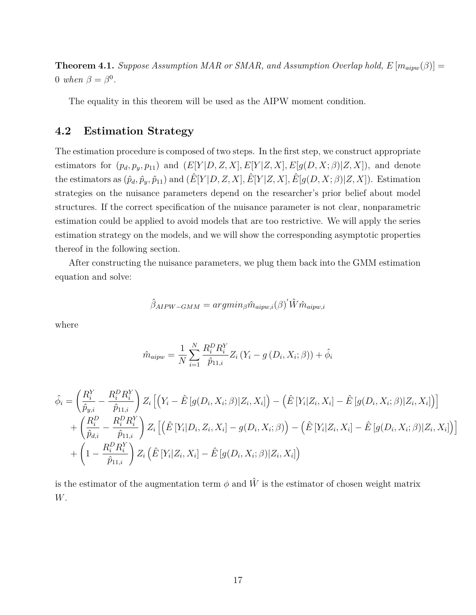<span id="page-16-0"></span>**Theorem 4.1.** *Suppose Assumption MAR or SMAR, and Assumption Overlap hold,*  $E[m_{aipw}(\beta)] =$ 0 *when*  $\beta = \beta^0$ .

The equality in this theorem will be used as the AIPW moment condition.

#### **4.2 Estimation Strategy**

The estimation procedure is composed of two steps. In the first step, we construct appropriate estimators for  $(p_d, p_y, p_{11})$  and  $(E[Y|D, Z, X], E[Y|Z, X], E[g(D, X; \beta)|Z, X])$ , and denote the estimators as  $(\hat{p}_d, \hat{p}_y, \hat{p}_{11})$  and  $(\hat{E}[Y|D, Z, X], \hat{E}[Y|Z, X], \hat{E}[g(D, X; \beta)|Z, X])$ . Estimation strategies on the nuisance parameters depend on the researcher's prior belief about model structures. If the correct specification of the nuisance parameter is not clear, nonparametric estimation could be applied to avoid models that are too restrictive. We will apply the series estimation strategy on the models, and we will show the corresponding asymptotic properties thereof in the following section.

After constructing the nuisance parameters, we plug them back into the GMM estimation equation and solve:

$$
\hat{\beta}_{AIPW-GMM} = argmin_{\beta} \hat{m}_{aipw,i}(\beta)' \hat{W} \hat{m}_{aipw,i}
$$

where

$$
\hat{m}_{aipw} = \frac{1}{N} \sum_{i=1}^{N} \frac{R_i^D R_i^Y}{\hat{p}_{11,i}} Z_i (Y_i - g (D_i, X_i; \beta)) + \hat{\phi}_i
$$

$$
\hat{\phi}_{i} = \left(\frac{R_{i}^{Y}}{\hat{p}_{y,i}} - \frac{R_{i}^{D}R_{i}^{Y}}{\hat{p}_{11,i}}\right)Z_{i}\left[\left(Y_{i} - \hat{E}\left[g(D_{i}, X_{i}; \beta)|Z_{i}, X_{i}\right] - \left(\hat{E}\left[Y_{i}|Z_{i}, X_{i}\right] - \hat{E}\left[g(D_{i}, X_{i}; \beta)|Z_{i}, X_{i}\right]\right)\right] \n+ \left(\frac{R_{i}^{D}}{\hat{p}_{d,i}} - \frac{R_{i}^{D}R_{i}^{Y}}{\hat{p}_{11,i}}\right)Z_{i}\left[\left(\hat{E}\left[Y_{i}|D_{i}, Z_{i}, X_{i}\right] - g(D_{i}, X_{i}; \beta)\right) - \left(\hat{E}\left[Y_{i}|Z_{i}, X_{i}\right] - \hat{E}\left[g(D_{i}, X_{i}; \beta)|Z_{i}, X_{i}\right]\right)\right] \n+ \left(1 - \frac{R_{i}^{D}R_{i}^{Y}}{\hat{p}_{11,i}}\right)Z_{i}\left(\hat{E}\left[Y_{i}|Z_{i}, X_{i}\right] - \hat{E}\left[g(D_{i}, X_{i}; \beta)|Z_{i}, X_{i}\right]\right)
$$

is the estimator of the augmentation term  $\phi$  and  $\hat{W}$  is the estimator of chosen weight matrix *W*.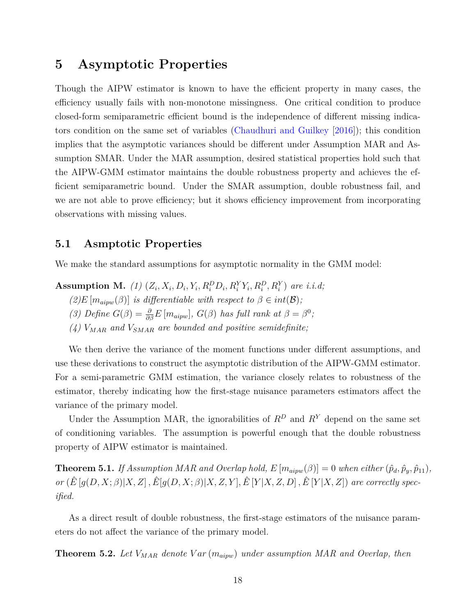# <span id="page-17-0"></span>**5 Asymptotic Properties**

Though the AIPW estimator is known to have the efficient property in many cases, the efficiency usually fails with non-monotone missingness. One critical condition to produce closed-form semiparametric efficient bound is the independence of different missing indicators condition on the same set of variables [\(Chaudhuri and Guilkey](#page-56-5) [\[2016\]](#page-56-5)); this condition implies that the asymptotic variances should be different under Assumption MAR and Assumption SMAR. Under the MAR assumption, desired statistical properties hold such that the AIPW-GMM estimator maintains the double robustness property and achieves the efficient semiparametric bound. Under the SMAR assumption, double robustness fail, and we are not able to prove efficiency; but it shows efficiency improvement from incorporating observations with missing values.

#### **5.1 Asmptotic Properties**

We make the standard assumptions for asymptotic normality in the GMM model:

**Assumption M.** (1)  $(Z_i, X_i, D_i, Y_i, R_i^D D_i, R_i^Y Y_i, R_i^D, R_i^Y)$  are i.i.d;

- $(2)E[m_{aimv}(\beta)]$  *is differentiable with respect to*  $\beta \in int(\mathcal{B})$ ;
- (3) Define  $G(\beta) = \frac{\partial}{\partial \beta} E[m_{aipw}], G(\beta)$  has full rank at  $\beta = \beta^0$ ;
- *(4) VMAR and VSMAR are bounded and positive semidefinite;*

We then derive the variance of the moment functions under different assumptions, and use these derivations to construct the asymptotic distribution of the AIPW-GMM estimator. For a semi-parametric GMM estimation, the variance closely relates to robustness of the estimator, thereby indicating how the first-stage nuisance parameters estimators affect the variance of the primary model.

Under the Assumption MAR, the ignorabilities of  $R^D$  and  $R^Y$  depend on the same set of conditioning variables. The assumption is powerful enough that the double robustness property of AIPW estimator is maintained.

<span id="page-17-1"></span>**Theorem 5.1.** *If Assumption MAR and Overlap hold,*  $E[m_{aipw}(\beta)] = 0$  *when either*  $(\hat{p}_d, \hat{p}_y, \hat{p}_{11})$ *,* or  $(\hat{E}[g(D, X; \beta)|X, Z], \hat{E}[g(D, X; \beta)|X, Z, Y], \hat{E}[Y|X, Z, D], \hat{E}[Y|X, Z])$  are correctly spec*ified.*

As a direct result of double robustness, the first-stage estimators of the nuisance parameters do not affect the variance of the primary model.

<span id="page-17-2"></span>**Theorem 5.2.** *Let VMAR denote V ar* (*maipw*) *under assumption MAR and Overlap, then*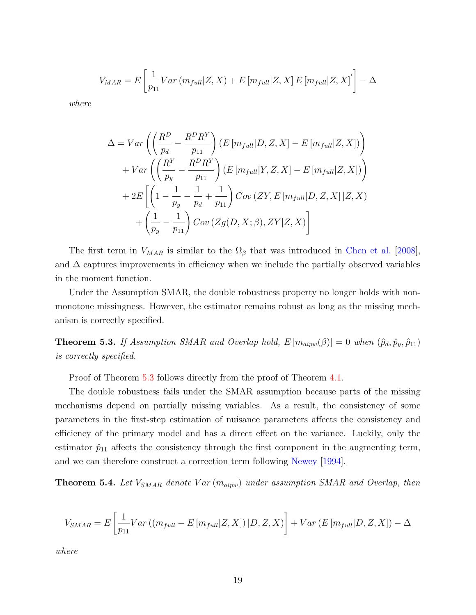$$
V_{MAR} = E\left[\frac{1}{p_{11}}Var\left(m_{full}|Z, X\right) + E\left[m_{full}|Z, X\right]E\left[m_{full}|Z, X\right]\right] - \Delta
$$

*where*

$$
\Delta = Var\left(\left(\frac{R^D}{p_d} - \frac{R^D R^Y}{p_{11}}\right) (E\left[m_{full}|D, Z, X\right] - E\left[m_{full}|Z, X\right])\right) + Var\left(\left(\frac{R^Y}{p_y} - \frac{R^D R^Y}{p_{11}}\right) (E\left[m_{full}|Y, Z, X\right] - E\left[m_{full}|Z, X\right])\right) + 2E\left[\left(1 - \frac{1}{p_y} - \frac{1}{p_d} + \frac{1}{p_{11}}\right) Cov\left(ZY, E\left[m_{full}|D, Z, X\right]|Z, X\right) + \left(\frac{1}{p_y} - \frac{1}{p_{11}}\right) Cov\left(Zg(D, X; \beta), ZY|Z, X\right)\right]
$$

The first term in  $V_{MAR}$  is similar to the  $\Omega_{\beta}$  that was introduced in [Chen et al.](#page-56-3) [\[2008\]](#page-56-3), and  $\Delta$  captures improvements in efficiency when we include the partially observed variables in the moment function.

Under the Assumption SMAR, the double robustness property no longer holds with nonmonotone missingness. However, the estimator remains robust as long as the missing mechanism is correctly specified.

<span id="page-18-0"></span>**Theorem 5.3.** *If Assumption SMAR and Overlap hold,*  $E[m_{aipw}(\beta)] = 0$  *when*  $(\hat{p}_d, \hat{p}_y, \hat{p}_{11})$ *is correctly specified.*

Proof of Theorem [5.3](#page-18-0) follows directly from the proof of Theorem [4.1.](#page-16-0)

The double robustness fails under the SMAR assumption because parts of the missing mechanisms depend on partially missing variables. As a result, the consistency of some parameters in the first-step estimation of nuisance parameters affects the consistency and efficiency of the primary model and has a direct effect on the variance. Luckily, only the estimator  $\hat{p}_{11}$  affects the consistency through the first component in the augmenting term, and we can therefore construct a correction term following [Newey](#page-57-11) [\[1994\]](#page-57-11).

<span id="page-18-1"></span>**Theorem 5.4.** *Let VSMAR denote V ar* (*maipw*) *under assumption SMAR and Overlap, then*

$$
V_{SMAR} = E\left[\frac{1}{p_{11}}Var((m_{full} - E[m_{full}|Z, X])|D, Z, X)\right] + Var(E[m_{full}|D, Z, X]) - \Delta
$$

*where*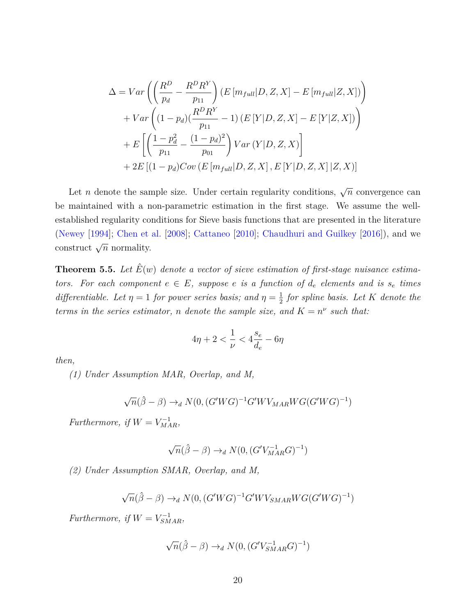$$
\Delta = Var\left(\left(\frac{R^D}{p_d} - \frac{R^D R^Y}{p_{11}}\right) (E\left[m_{full}|D, Z, X\right] - E\left[m_{full}|Z, X\right])\right) + Var\left((1 - p_d)(\frac{R^D R^Y}{p_{11}} - 1) (E\left[Y|D, Z, X\right] - E\left[Y|Z, X\right])\right) + E\left[\left(\frac{1 - p_d^2}{p_{11}} - \frac{(1 - p_d)^2}{p_{01}}\right) Var\left(Y|D, Z, X\right)\right] + 2E\left[(1 - p_d)Cov\left(E\left[m_{full}|D, Z, X\right], E\left[Y|D, Z, X\right]|Z, X\right)\right]
$$

Let *n* denote the sample size. Under certain regularity conditions,  $\sqrt{n}$  convergence can be maintained with a non-parametric estimation in the first stage. We assume the wellestablished regularity conditions for Sieve basis functions that are presented in the literature [\(Newey](#page-57-11) [\[1994\]](#page-57-11); [Chen et al.](#page-56-3) [\[2008\]](#page-56-3); [Cattaneo](#page-56-4) [\[2010\]](#page-56-4); [Chaudhuri and Guilkey](#page-56-5) [\[2016\]](#page-56-5)), and we construct  $\sqrt{n}$  normality.

<span id="page-19-0"></span>**Theorem 5.5.** Let  $\hat{E}(w)$  denote a vector of sieve estimation of first-stage nuisance estima*tors.* For each component  $e \in E$ *, suppose e is a function* of  $d_e$  *elements* and *is*  $s_e$  *times differentiable. Let*  $\eta = 1$  *for power series basis; and*  $\eta = \frac{1}{2}$ 2 *for spline basis. Let K denote the terms in the series estimator, n denote the sample size, and*  $K = n^{\nu}$  *such that:* 

$$
4\eta+2<\frac{1}{\nu}<4\frac{s_e}{d_e}-6\eta
$$

*then,*

*(1) Under Assumption MAR, Overlap, and M,*

$$
\sqrt{n}(\hat{\beta} - \beta) \rightarrow_d N(0, (G'WG)^{-1}G'WV_{MAR}WG(G'WG)^{-1})
$$

*Furthermore, if*  $W = V_{MAR}^{-1}$ ,

$$
\sqrt{n}(\hat{\beta} - \beta) \rightarrow_d N(0, (G'V_{MAR}^{-1}G)^{-1})
$$

*(2) Under Assumption SMAR, Overlap, and M,*

$$
\sqrt{n}(\hat{\beta} - \beta) \rightarrow_d N(0, (G'WG)^{-1}G'WV_{SMAR}WG(G'WG)^{-1})
$$

*Furthermore, if*  $W = V_{SMAR}^{-1}$ ,

$$
\sqrt{n}(\hat{\beta} - \beta) \rightarrow_d N(0, (G'V_{SMAR}^{-1}G)^{-1})
$$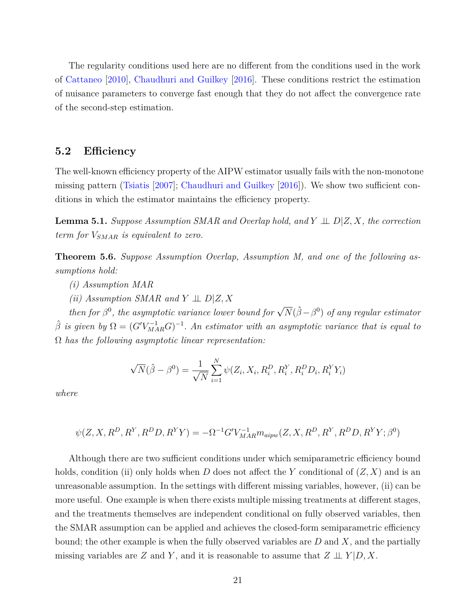The regularity conditions used here are no different from the conditions used in the work of [Cattaneo](#page-56-4) [\[2010\]](#page-56-4), [Chaudhuri and Guilkey](#page-56-5) [\[2016\]](#page-56-5). These conditions restrict the estimation of nuisance parameters to converge fast enough that they do not affect the convergence rate of the second-step estimation.

#### <span id="page-20-2"></span>**5.2 Efficiency**

The well-known efficiency property of the AIPW estimator usually fails with the non-monotone missing pattern [\(Tsiatis](#page-58-0) [\[2007\]](#page-58-0); [Chaudhuri and Guilkey](#page-56-5) [\[2016\]](#page-56-5)). We show two sufficient conditions in which the estimator maintains the efficiency property.

<span id="page-20-0"></span>**Lemma 5.1.** *Suppose Assumption SMAR and Overlap hold, and*  $Y \perp \perp D/Z, X$ *, the correction term for VSMAR is equivalent to zero.*

<span id="page-20-1"></span>**Theorem 5.6.** *Suppose Assumption Overlap, Assumption M, and one of the following assumptions hold:*

- *(i) Assumption MAR*
- $(iii)$  *Assumption SMAR and*  $Y \perp\!\!\!\perp D|Z, X$

*then for*  $\beta^0$ , the asymptotic variance lower bound for  $\sqrt{N}(\hat{\beta} - \beta^0)$  of any regular estimator  $\hat{\beta}$  *is given by*  $\Omega = (G'V_{MAR}^{-1}G)^{-1}$ . An estimator with an asymptotic variance that is equal to Ω *has the following asymptotic linear representation:*

$$
\sqrt{N}(\hat{\beta} - \beta^0) = \frac{1}{\sqrt{N}} \sum_{i=1}^{N} \psi(Z_i, X_i, R_i^D, R_i^Y, R_i^D D_i, R_i^Y Y_i)
$$

*where*

$$
\psi(Z, X, R^D, R^Y, R^D, R^YY) = -\Omega^{-1} G' V_{MAR}^{-1} m_{aipw}(Z, X, R^D, R^Y, R^D, R^YY; \beta^0)
$$

Although there are two sufficient conditions under which semiparametric efficiency bound holds, condition (ii) only holds when *D* does not affect the *Y* conditional of (*Z, X*) and is an unreasonable assumption. In the settings with different missing variables, however, (ii) can be more useful. One example is when there exists multiple missing treatments at different stages, and the treatments themselves are independent conditional on fully observed variables, then the SMAR assumption can be applied and achieves the closed-form semiparametric efficiency bound; the other example is when the fully observed variables are *D* and *X*, and the partially missing variables are *Z* and *Y*, and it is reasonable to assume that  $Z \perp \!\!\!\perp Y|D, X$ .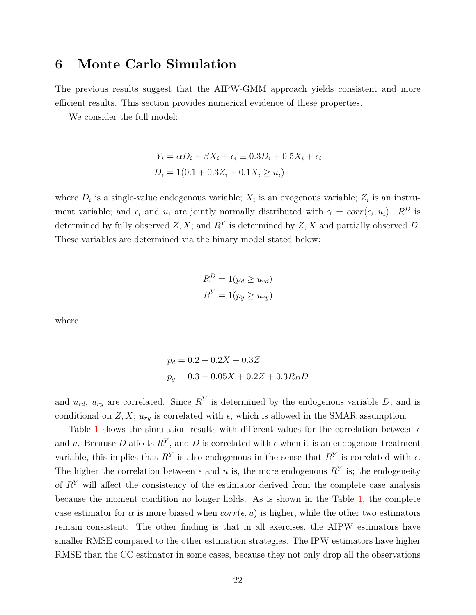## <span id="page-21-0"></span>**6 Monte Carlo Simulation**

The previous results suggest that the AIPW-GMM approach yields consistent and more efficient results. This section provides numerical evidence of these properties.

We consider the full model:

$$
Y_i = \alpha D_i + \beta X_i + \epsilon_i \equiv 0.3D_i + 0.5X_i + \epsilon_i
$$
  

$$
D_i = 1(0.1 + 0.3Z_i + 0.1X_i \ge u_i)
$$

where  $D_i$  is a single-value endogenous variable;  $X_i$  is an exogenous variable;  $Z_i$  is an instrument variable; and  $\epsilon_i$  and  $u_i$  are jointly normally distributed with  $\gamma = corr(\epsilon_i, u_i)$ .  $R^D$  is determined by fully observed  $Z, X$ ; and  $R<sup>Y</sup>$  is determined by  $Z, X$  and partially observed  $D$ . These variables are determined via the binary model stated below:

$$
R^{D} = 1(p_d \ge u_{rd})
$$
  

$$
R^{Y} = 1(p_y \ge u_{ry})
$$

where

$$
p_d = 0.2 + 0.2X + 0.3Z
$$

$$
p_y = 0.3 - 0.05X + 0.2Z + 0.3R_D D
$$

and  $u_{rd}$ ,  $u_{ry}$  are correlated. Since  $R<sup>Y</sup>$  is determined by the endogenous variable *D*, and is conditional on  $Z, X$ ;  $u_{ry}$  is correlated with  $\epsilon$ , which is allowed in the SMAR assumption.

Table [1](#page-22-1) shows the simulation results with different values for the correlation between  $\epsilon$ and *u*. Because D affects  $R<sup>Y</sup>$ , and D is correlated with  $\epsilon$  when it is an endogenous treatment variable, this implies that  $R^Y$  is also endogenous in the sense that  $R^Y$  is correlated with  $\epsilon$ . The higher the correlation between  $\epsilon$  and  $u$  is, the more endogenous  $R^Y$  is; the endogeneity of *R<sup>Y</sup>* will affect the consistency of the estimator derived from the complete case analysis because the moment condition no longer holds. As is shown in the Table [1,](#page-22-1) the complete case estimator for  $\alpha$  is more biased when  $corr(\epsilon, u)$  is higher, while the other two estimators remain consistent. The other finding is that in all exercises, the AIPW estimators have smaller RMSE compared to the other estimation strategies. The IPW estimators have higher RMSE than the CC estimator in some cases, because they not only drop all the observations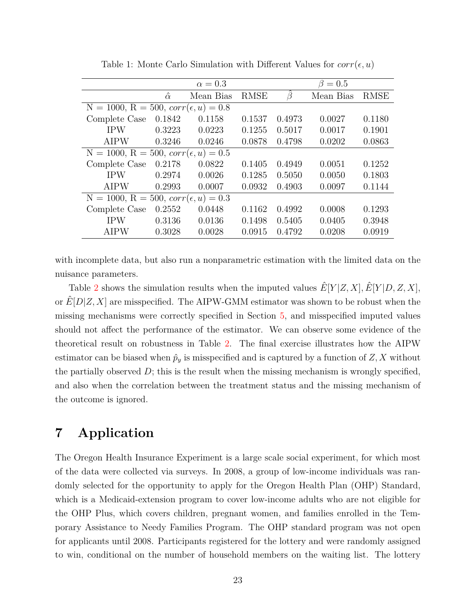<span id="page-22-1"></span>

|                                              |                | $\alpha = 0.3$ |             |        | $\beta=0.5$ |             |
|----------------------------------------------|----------------|----------------|-------------|--------|-------------|-------------|
|                                              | $\hat{\alpha}$ | Mean Bias      | <b>RMSE</b> | B      | Mean Bias   | <b>RMSE</b> |
| $N = 1000, R = 500, corr(\epsilon, u) = 0.8$ |                |                |             |        |             |             |
| Complete Case                                | 0.1842         | 0.1158         | 0.1537      | 0.4973 | 0.0027      | 0.1180      |
| <b>IPW</b>                                   | 0.3223         | 0.0223         | 0.1255      | 0.5017 | 0.0017      | 0.1901      |
| <b>AIPW</b>                                  | 0.3246         | 0.0246         | 0.0878      | 0.4798 | 0.0202      | 0.0863      |
| $N = 1000, R = 500, corr(\epsilon, u) = 0.5$ |                |                |             |        |             |             |
| Complete Case                                | 0.2178         | 0.0822         | 0.1405      | 0.4949 | 0.0051      | 0.1252      |
| <b>IPW</b>                                   | 0.2974         | 0.0026         | 0.1285      | 0.5050 | 0.0050      | 0.1803      |
| <b>AIPW</b>                                  | 0.2993         | 0.0007         | 0.0932      | 0.4903 | 0.0097      | 0.1144      |
| $N = 1000, R = 500, corr(\epsilon, u) = 0.3$ |                |                |             |        |             |             |
| Complete Case                                | 0.2552         | 0.0448         | 0.1162      | 0.4992 | 0.0008      | 0.1293      |
| <b>IPW</b>                                   | 0.3136         | 0.0136         | 0.1498      | 0.5405 | 0.0405      | 0.3948      |
| <b>AIPW</b>                                  | 0.3028         | 0.0028         | 0.0915      | 0.4792 | 0.0208      | 0.0919      |

Table 1: Monte Carlo Simulation with Different Values for  $corr(\epsilon, u)$ 

with incomplete data, but also run a nonparametric estimation with the limited data on the nuisance parameters.

Table [2](#page-23-0) shows the simulation results when the imputed values  $\hat{E}[Y|Z,X], \hat{E}[Y|D, Z, X]$ , or  $\hat{E}[D|Z, X]$  are misspecified. The AIPW-GMM estimator was shown to be robust when the missing mechanisms were correctly specified in Section [5,](#page-17-0) and misspecified imputed values should not affect the performance of the estimator. We can observe some evidence of the theoretical result on robustness in Table [2.](#page-23-0) The final exercise illustrates how the AIPW estimator can be biased when  $\hat{p}_y$  is misspecified and is captured by a function of  $Z, X$  without the partially observed *D*; this is the result when the missing mechanism is wrongly specified, and also when the correlation between the treatment status and the missing mechanism of the outcome is ignored.

# <span id="page-22-0"></span>**7 Application**

The Oregon Health Insurance Experiment is a large scale social experiment, for which most of the data were collected via surveys. In 2008, a group of low-income individuals was randomly selected for the opportunity to apply for the Oregon Health Plan (OHP) Standard, which is a Medicaid-extension program to cover low-income adults who are not eligible for the OHP Plus, which covers children, pregnant women, and families enrolled in the Temporary Assistance to Needy Families Program. The OHP standard program was not open for applicants until 2008. Participants registered for the lottery and were randomly assigned to win, conditional on the number of household members on the waiting list. The lottery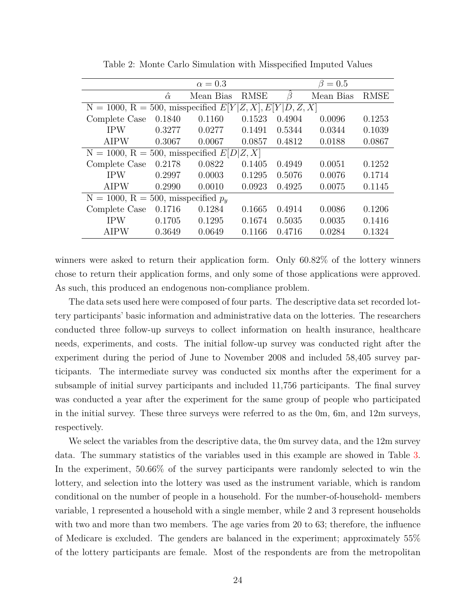<span id="page-23-0"></span>

|                                                   |                | $\alpha = 0.3$ |             |                      | $\beta=0.5$ |             |
|---------------------------------------------------|----------------|----------------|-------------|----------------------|-------------|-------------|
|                                                   | $\hat{\alpha}$ | Mean Bias      | <b>RMSE</b> | $\beta$              | Mean Bias   | <b>RMSE</b> |
| $N = 1000, R = 500$ , misspecified $E[Y]$         |                |                |             | [Z, X], E[Y D, Z, X] |             |             |
| Complete Case                                     | 0.1840         | 0.1160         | 0.1523      | 0.4904               | 0.0096      | 0.1253      |
| <b>IPW</b>                                        | 0.3277         | 0.0277         | 0.1491      | 0.5344               | 0.0344      | 0.1039      |
| <b>AIPW</b>                                       | 0.3067         | 0.0067         | 0.0857      | 0.4812               | 0.0188      | 0.0867      |
| $N = 1000$ , $R = 500$ , misspecified $E[D Z, X]$ |                |                |             |                      |             |             |
| Complete Case                                     | 0.2178         | 0.0822         | 0.1405      | 0.4949               | 0.0051      | 0.1252      |
| <b>IPW</b>                                        | 0.2997         | 0.0003         | 0.1295      | 0.5076               | 0.0076      | 0.1714      |
| <b>AIPW</b>                                       | 0.2990         | 0.0010         | 0.0923      | 0.4925               | 0.0075      | 0.1145      |
| $N = 1000$ , $R = 500$ , misspecified $p_u$       |                |                |             |                      |             |             |
| Complete Case                                     | 0.1716         | 0.1284         | 0.1665      | 0.4914               | 0.0086      | 0.1206      |
| <b>IPW</b>                                        | 0.1705         | 0.1295         | 0.1674      | 0.5035               | 0.0035      | 0.1416      |
| <b>AIPW</b>                                       | 0.3649         | 0.0649         | 0.1166      | 0.4716               | 0.0284      | 0.1324      |

Table 2: Monte Carlo Simulation with Misspecified Imputed Values

winners were asked to return their application form. Only 60.82% of the lottery winners chose to return their application forms, and only some of those applications were approved. As such, this produced an endogenous non-compliance problem.

The data sets used here were composed of four parts. The descriptive data set recorded lottery participants' basic information and administrative data on the lotteries. The researchers conducted three follow-up surveys to collect information on health insurance, healthcare needs, experiments, and costs. The initial follow-up survey was conducted right after the experiment during the period of June to November 2008 and included 58,405 survey participants. The intermediate survey was conducted six months after the experiment for a subsample of initial survey participants and included 11,756 participants. The final survey was conducted a year after the experiment for the same group of people who participated in the initial survey. These three surveys were referred to as the 0m, 6m, and 12m surveys, respectively.

We select the variables from the descriptive data, the 0m survey data, and the 12m survey data. The summary statistics of the variables used in this example are showed in Table [3.](#page-25-0) In the experiment, 50.66% of the survey participants were randomly selected to win the lottery, and selection into the lottery was used as the instrument variable, which is random conditional on the number of people in a household. For the number-of-household- members variable, 1 represented a household with a single member, while 2 and 3 represent households with two and more than two members. The age varies from 20 to 63; therefore, the influence of Medicare is excluded. The genders are balanced in the experiment; approximately 55% of the lottery participants are female. Most of the respondents are from the metropolitan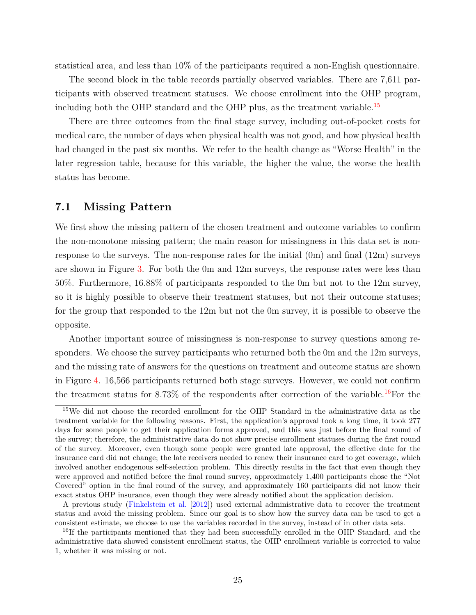statistical area, and less than 10% of the participants required a non-English questionnaire.

The second block in the table records partially observed variables. There are 7,611 participants with observed treatment statuses. We choose enrollment into the OHP program, including both the OHP standard and the OHP plus, as the treatment variable.<sup>[15](#page-24-0)</sup>

There are three outcomes from the final stage survey, including out-of-pocket costs for medical care, the number of days when physical health was not good, and how physical health had changed in the past six months. We refer to the health change as "Worse Health" in the later regression table, because for this variable, the higher the value, the worse the health status has become.

#### **7.1 Missing Pattern**

We first show the missing pattern of the chosen treatment and outcome variables to confirm the non-monotone missing pattern; the main reason for missingness in this data set is nonresponse to the surveys. The non-response rates for the initial (0m) and final (12m) surveys are shown in Figure [3.](#page-26-0) For both the 0m and 12m surveys, the response rates were less than 50%. Furthermore, 16.88% of participants responded to the 0m but not to the 12m survey, so it is highly possible to observe their treatment statuses, but not their outcome statuses; for the group that responded to the 12m but not the 0m survey, it is possible to observe the opposite.

Another important source of missingness is non-response to survey questions among responders. We choose the survey participants who returned both the 0m and the 12m surveys, and the missing rate of answers for the questions on treatment and outcome status are shown in Figure [4.](#page-27-0) 16,566 participants returned both stage surveys. However, we could not confirm the treatment status for 8.73% of the respondents after correction of the variable.<sup>[16](#page-24-1)</sup>For the

<span id="page-24-0"></span><sup>15</sup>We did not choose the recorded enrollment for the OHP Standard in the administrative data as the treatment variable for the following reasons. First, the application's approval took a long time, it took 277 days for some people to get their application forms approved, and this was just before the final round of the survey; therefore, the administrative data do not show precise enrollment statuses during the first round of the survey. Moreover, even though some people were granted late approval, the effective date for the insurance card did not change; the late receivers needed to renew their insurance card to get coverage, which involved another endogenous self-selection problem. This directly results in the fact that even though they were approved and notified before the final round survey, approximately 1,400 participants chose the "Not Covered" option in the final round of the survey, and approximately 160 participants did not know their exact status OHP insurance, even though they were already notified about the application decision.

A previous study [\(Finkelstein et al.](#page-56-11) [\[2012\]](#page-56-11)) used external administrative data to recover the treatment status and avoid the missing problem. Since our goal is to show how the survey data can be used to get a consistent estimate, we choose to use the variables recorded in the survey, instead of in other data sets.

<span id="page-24-1"></span><sup>&</sup>lt;sup>16</sup>If the participants mentioned that they had been successfully enrolled in the OHP Standard, and the administrative data showed consistent enrollment status, the OHP enrollment variable is corrected to value 1, whether it was missing or not.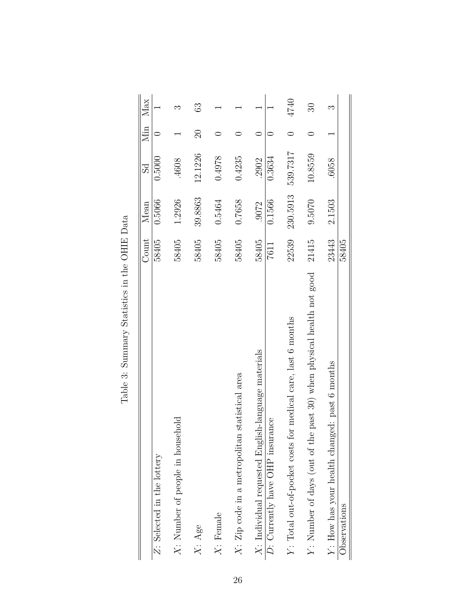<span id="page-25-0"></span>

|                                                                      | Count          | Mean     | 5d       |              | Min Max                  |
|----------------------------------------------------------------------|----------------|----------|----------|--------------|--------------------------|
| Z: Selected in the lottery                                           | 58405          | 0.5066   | 0.5000   |              |                          |
| $X$ : Number of people in household                                  | 58405          | 1.2926   | .4608    |              | ಌ                        |
| $X: \mathrm{Age}$                                                    | 58405          | 39.8863  | 12.1226  | $\mathbb{S}$ | 63                       |
| $X:$ Female                                                          | 58405          | 0.5464   | 0.4978   |              |                          |
| $X:$ Zip code in a metropolitan statistical area                     | 58405          | 0.7658   | 0.4235   |              |                          |
| ish-language materials<br>$X:$ Individual requested Engli            | 58405          | .9072    | .2902    |              |                          |
| D: Currently have OHP insurance                                      | 7611           | 0.1566   | 0.3634   |              |                          |
| Y: Total out-of-pocket costs for medical care, last 6 months         | 22539          | 230.5913 | 539.7317 |              | 4740                     |
| Y: Number of days (out of the past 30) when physical health not good | 21415          | 9.5070   | 10.8559  |              | $\overline{\mathrm{30}}$ |
| Y: How has your health changed: past 6 months<br>Observations        | 23443<br>58405 | 2.1503   | .6058    |              | ᠬ.                       |
|                                                                      |                |          |          |              |                          |

Table 3: Summary Statistics in the OHIE Data Table 3: Summary Statistics in the OHIE Data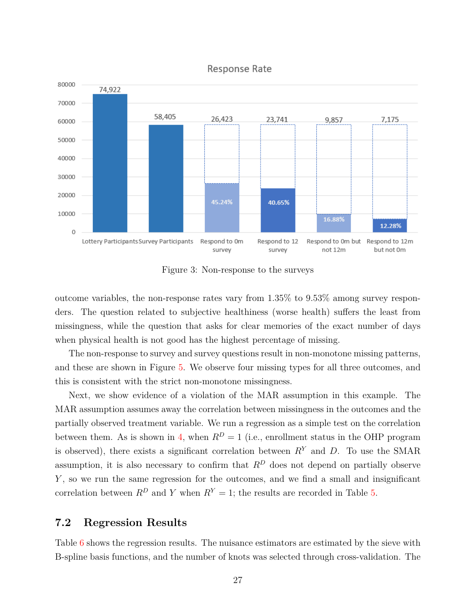<span id="page-26-0"></span>

**Response Rate** 

Figure 3: Non-response to the surveys

outcome variables, the non-response rates vary from 1.35% to 9.53% among survey responders. The question related to subjective healthiness (worse health) suffers the least from missingness, while the question that asks for clear memories of the exact number of days when physical health is not good has the highest percentage of missing.

The non-response to survey and survey questions result in non-monotone missing patterns, and these are shown in Figure [5.](#page-27-1) We observe four missing types for all three outcomes, and this is consistent with the strict non-monotone missingness.

Next, we show evidence of a violation of the MAR assumption in this example. The MAR assumption assumes away the correlation between missingness in the outcomes and the partially observed treatment variable. We run a regression as a simple test on the correlation between them. As is shown in [4,](#page-28-0) when  $R^D = 1$  (i.e., enrollment status in the OHP program is observed), there exists a significant correlation between  $R<sup>Y</sup>$  and *D*. To use the SMAR assumption, it is also necessary to confirm that  $R^D$  does not depend on partially observe *Y*, so we run the same regression for the outcomes, and we find a small and insignificant correlation between  $R^D$  and *Y* when  $R^Y = 1$ ; the results are recorded in Table [5.](#page-29-0)

## **7.2 Regression Results**

Table [6](#page-31-0) shows the regression results. The nuisance estimators are estimated by the sieve with B-spline basis functions, and the number of knots was selected through cross-validation. The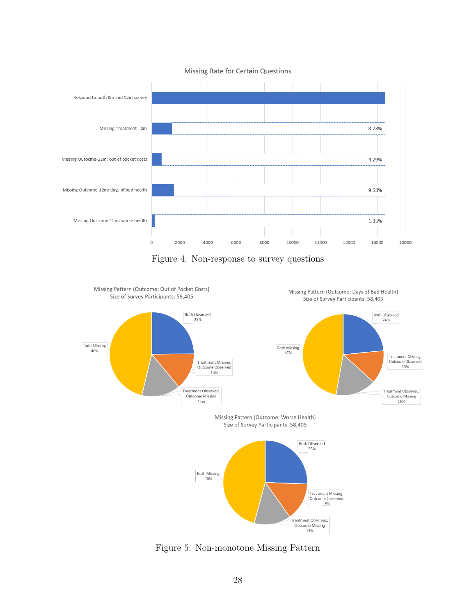<span id="page-27-0"></span>

Missing Rate for Certain Questions

Figure 4: Non-response to survey questions

<span id="page-27-1"></span>

Figure 5: Non-monotone Missing Pattern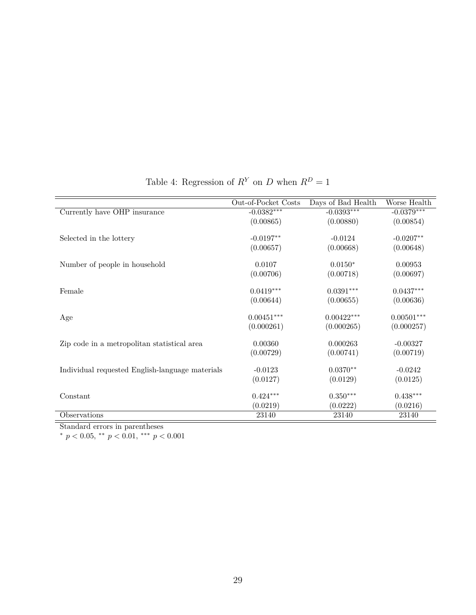<span id="page-28-0"></span>

|                                                 | Out-of-Pocket Costs | Days of Bad Health | Worse Health |
|-------------------------------------------------|---------------------|--------------------|--------------|
| Currently have OHP insurance                    | $-0.0382***$        | $-0.0393***$       | $-0.0379***$ |
|                                                 | (0.00865)           | (0.00880)          | (0.00854)    |
|                                                 |                     |                    |              |
| Selected in the lottery                         | $-0.0197**$         | $-0.0124$          | $-0.0207**$  |
|                                                 | (0.00657)           | (0.00668)          | (0.00648)    |
| Number of people in household                   | 0.0107              | $0.0150*$          | 0.00953      |
|                                                 | (0.00706)           | (0.00718)          | (0.00697)    |
| Female                                          | $0.0419***$         | $0.0391***$        | $0.0437***$  |
|                                                 | (0.00644)           | (0.00655)          | (0.00636)    |
| Age                                             | $0.00451***$        | $0.00422***$       | $0.00501***$ |
|                                                 | (0.000261)          | (0.000265)         | (0.000257)   |
| Zip code in a metropolitan statistical area     | 0.00360             | 0.000263           | $-0.00327$   |
|                                                 | (0.00729)           | (0.00741)          | (0.00719)    |
| Individual requested English-language materials | $-0.0123$           | $0.0370**$         | $-0.0242$    |
|                                                 | (0.0127)            | (0.0129)           | (0.0125)     |
| Constant                                        | $0.424***$          | $0.350***$         | $0.438***$   |
|                                                 | (0.0219)            | (0.0222)           | (0.0216)     |
| Observations                                    | 23140               | 23140              | 23140        |

Table 4: Regression of  $R^Y$  on *D* when  $R^D = 1$ 

Standard errors in parentheses

<sup>∗</sup> *p <* 0*.*05, ∗∗ *p <* 0*.*01, ∗∗∗ *p <* 0*.*001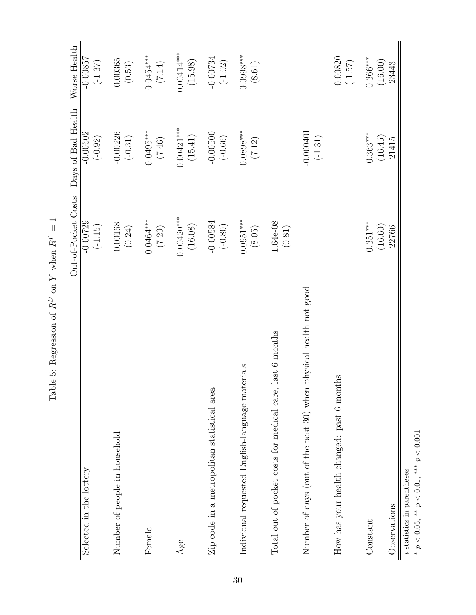<span id="page-29-0"></span>

|                                                                      | Out-of-Pocket Costs     | Days of Bad Health       | Worse Health                   |
|----------------------------------------------------------------------|-------------------------|--------------------------|--------------------------------|
| Selected in the lottery                                              | $-0.00729$<br>$(-1.15)$ | $-0.00602$<br>$(-0.92)$  | $-0.00857$<br>$(-1.37)$        |
|                                                                      |                         |                          |                                |
| Number of people in household                                        | 0.00168<br>(0.24)       | $-0.00226$<br>$(-0.31)$  | 0.00365<br>$\left(0.53\right)$ |
|                                                                      |                         |                          |                                |
| Female                                                               | $0.0464***$<br>$(7.20)$ | $0.0495***$<br>(7.46)    | (7.14)                         |
| $\rm Age$                                                            | $0.00420***$<br>(16.08) | $0.00421***$<br>(15.41)  | $0.00414***$<br>(15.98)        |
| Zip code in a metropolitan statistical area                          | $-0.00584$<br>$(-0.80)$ | $-0.00500$<br>$(-0.66)$  | $-0.00734$<br>$(-1.02)$        |
| Individual requested English-language materials                      | $0.0951***$<br>$(8.05)$ | $0.0898***$<br>(7.12)    | $0.0998***$<br>$(8.61)$        |
| last 6 months<br>Total out of pocket costs for medical care,         | 1.64e-08<br>$(0.81)$    |                          |                                |
| physical health not good<br>Number of days (out of the past 30) when |                         | $-0.000401$<br>$(-1.31)$ |                                |
| How has your health changed: past 6 months                           |                         |                          | $-0.00820$<br>$(-1.57)$        |
| Constant                                                             | $0.351***$<br>(16.60)   | $0.363***$<br>(16.45)    | $0.366***$<br>(16.00)          |
| Observations                                                         | 22766                   | 21415                    | 23443                          |
| t statistics in parentheses                                          |                         |                          |                                |

Table 5: Regression of  $R^D$  on  $Y$  when  $R^Y=1$ Table 5: Regression of  $R^D$  on  $Y$  when  $R^Y = 1$ 

*t*∗

*p <* 0*.*05, ∗∗ *p <* 0*.*01, ∗∗∗ *p <* 0*.*001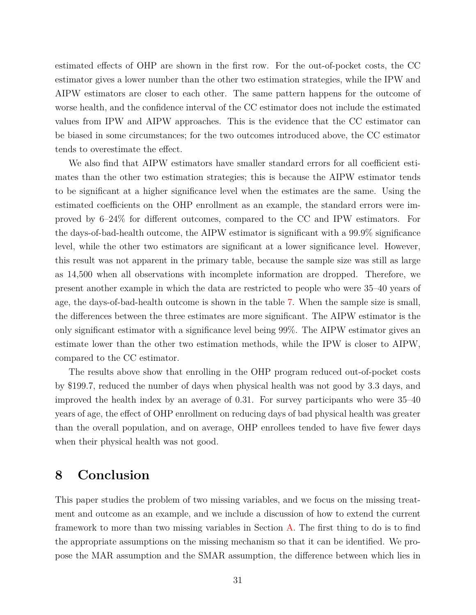estimated effects of OHP are shown in the first row. For the out-of-pocket costs, the CC estimator gives a lower number than the other two estimation strategies, while the IPW and AIPW estimators are closer to each other. The same pattern happens for the outcome of worse health, and the confidence interval of the CC estimator does not include the estimated values from IPW and AIPW approaches. This is the evidence that the CC estimator can be biased in some circumstances; for the two outcomes introduced above, the CC estimator tends to overestimate the effect.

We also find that AIPW estimators have smaller standard errors for all coefficient estimates than the other two estimation strategies; this is because the AIPW estimator tends to be significant at a higher significance level when the estimates are the same. Using the estimated coefficients on the OHP enrollment as an example, the standard errors were improved by 6–24% for different outcomes, compared to the CC and IPW estimators. For the days-of-bad-health outcome, the AIPW estimator is significant with a 99.9% significance level, while the other two estimators are significant at a lower significance level. However, this result was not apparent in the primary table, because the sample size was still as large as 14,500 when all observations with incomplete information are dropped. Therefore, we present another example in which the data are restricted to people who were 35–40 years of age, the days-of-bad-health outcome is shown in the table [7.](#page-32-0) When the sample size is small, the differences between the three estimates are more significant. The AIPW estimator is the only significant estimator with a significance level being 99%. The AIPW estimator gives an estimate lower than the other two estimation methods, while the IPW is closer to AIPW, compared to the CC estimator.

The results above show that enrolling in the OHP program reduced out-of-pocket costs by \$199.7, reduced the number of days when physical health was not good by 3.3 days, and improved the health index by an average of 0.31. For survey participants who were 35–40 years of age, the effect of OHP enrollment on reducing days of bad physical health was greater than the overall population, and on average, OHP enrollees tended to have five fewer days when their physical health was not good.

# <span id="page-30-0"></span>**8 Conclusion**

This paper studies the problem of two missing variables, and we focus on the missing treatment and outcome as an example, and we include a discussion of how to extend the current framework to more than two missing variables in Section [A.](#page-33-0) The first thing to do is to find the appropriate assumptions on the missing mechanism so that it can be identified. We propose the MAR assumption and the SMAR assumption, the difference between which lies in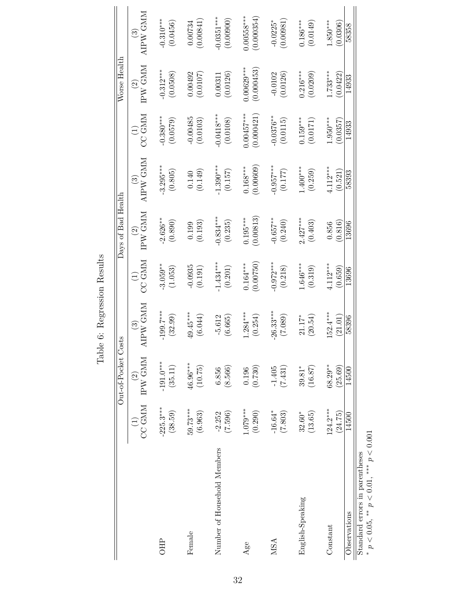<span id="page-31-0"></span>

|                                                                                  |                        | Out-of-Pocket            | Costs                                                |                                                                  | Days of Bad Health      |                                                      |                                                    | Worse Health               |                          |
|----------------------------------------------------------------------------------|------------------------|--------------------------|------------------------------------------------------|------------------------------------------------------------------|-------------------------|------------------------------------------------------|----------------------------------------------------|----------------------------|--------------------------|
|                                                                                  | <b>CC GMM</b>          | IPW GMM<br>$\widehat{2}$ | $\begin{array}{c} (3) \\ \text{APW GMM} \end{array}$ | $\begin{array}{c} (1)\\ {\rm C}{\rm C}\,\,{\rm GMM} \end{array}$ | $^{(2)}_{\rm IPW}$ GMM  | $\begin{array}{c} (3) \\ \text{APW GMM} \end{array}$ | $\begin{array}{c} (1)\\ {\rm CCC~GMM} \end{array}$ | IPW GMM<br>$\odot$         | AIPW GMM<br>$\odot$      |
| <b>OHP</b>                                                                       | $-225.3***$<br>(38.59) | $-191.0***$<br>(35.11)   | $-199.7***$<br>(32.99)                               | $-3.059***$<br>(1.053)                                           | $-2.626**$<br>(0.890)   | $-3.295***$<br>(0.805)                               | $-0.380***$<br>(0.0579)                            | $-0.312***$<br>(0.0508)    | $-0.310***$<br>(0.0456)  |
| Female                                                                           | $59.73***$<br>(6.963)  | 46.96***<br>(10.75)      | $49.45***$<br>(6.044)                                | $-0.0935$<br>(0.191)                                             | $(0.199$<br>(0.193)     | $(0.140)$<br>(0.149)                                 | $-0.00485$<br>$(0.0103)$                           | 0.00492<br>(0.0107)        | (0.00841)<br>0.00734     |
| Number of Household Members                                                      | (7.596)<br>$-2.252$    | (8.566)<br>6.856         | $-5.612$<br>(6.665)                                  | $-1.434***$<br>(0.201)                                           | $-0.834***$<br>(0.235)  | $-1.390***$<br>$\left(0.157\right)$                  | $-0.0418***$<br>(0.0108)                           | (0.0126)<br>0.00311        | $0.0351***$<br>(0.00000) |
| Age                                                                              | $1.079***$<br>(0.290)  | (0.730)<br>0.196         | $1.284***$<br>(0.254)                                | (0.00750)<br>$0.164***$                                          | (0.00813)<br>$0.195***$ | (0.00609)<br>$0.168***$                              | $0.00457***$<br>(0.000421)                         | $0.00629***$<br>(0.000453) | $0.00558***$<br>0.000354 |
| MSA                                                                              | $-16.64*$<br>(7.803)   | (7.431)<br>$-1.405$      | $26.33***$<br>(0.80, 7)                              | $-0.972***$<br>(0.218)                                           | $-0.657***$<br>(0.240)  | $-0.957***$<br>$(0.177)$                             | $-0.0376**$<br>(0.0115)                            | $-0.0102$<br>(0.0126)      | $-0.0225*$<br>(0.00981)  |
| English-Speaking                                                                 | $32.60*$<br>(13.65)    | (16.87)<br>$39.81*$      | (20.54)<br>$21.17*$                                  | $1.646***$<br>(0.319)                                            | $2.427***$<br>(0.403)   | $1.400***$<br>(0.259)                                | $0.159***$<br>(0.0171)                             | $0.216***$<br>(0.0209)     | $0.186***$<br>(0.0149)   |
| Constant                                                                         | $124.2***$<br>(24.75)  | $68.29***$<br>(25.69)    | $152.4***$<br>(21.01)                                | $4.112***$<br>(0.659)                                            | (0.816)<br>0.856        | $4.112***$<br>(0.521)                                | $1.950***$<br>(0.0357)                             | $.733***$<br>(0.0422)      | $-850***$<br>(0.0306)    |
| Observations                                                                     | 14500                  | 14500                    | 58396                                                | 13696                                                            | 13696                   | 58393                                                | 14933                                              | 14933                      | 58358                    |
| * $p < 0.05$ , ** $p < 0.01$ , *** $p < 0.001$<br>Standard errors in parentheses |                        |                          |                                                      |                                                                  |                         |                                                      |                                                    |                            |                          |

Table 6: Regression Results Table 6: Regression Results

*p <* 0*.*05, ∗∗ *p <* 0*.*01, ∗∗∗ *p <* 0*.*001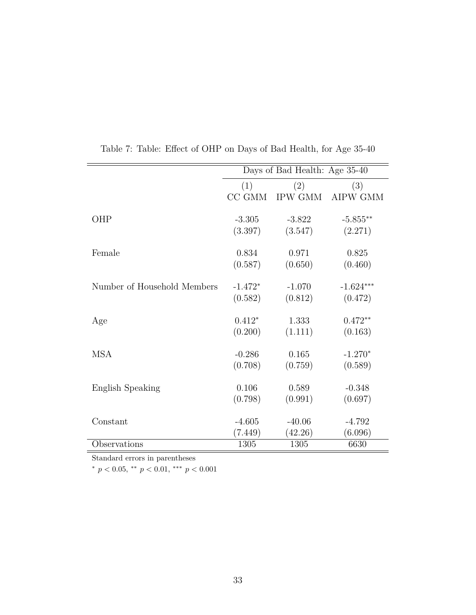<span id="page-32-0"></span>

|                             |           | Days of Bad Health: Age 35-40 |             |
|-----------------------------|-----------|-------------------------------|-------------|
|                             | (1)       | (2)                           | (3)         |
|                             | CC GMM    | IPW GMM                       | AIPW GMM    |
| OHP                         | $-3.305$  | $-3.822$                      | $-5.855**$  |
|                             | (3.397)   | (3.547)                       | (2.271)     |
| Female                      | 0.834     | 0.971                         | 0.825       |
|                             | (0.587)   | (0.650)                       | (0.460)     |
| Number of Household Members | $-1.472*$ | $-1.070$                      | $-1.624***$ |
|                             | (0.582)   | (0.812)                       | (0.472)     |
| Age                         | $0.412*$  | 1.333                         | $0.472**$   |
|                             | (0.200)   | (1.111)                       | (0.163)     |
| <b>MSA</b>                  | $-0.286$  | 0.165                         | $-1.270*$   |
|                             | (0.708)   | (0.759)                       | (0.589)     |
| English Speaking            | 0.106     | 0.589                         | $-0.348$    |
|                             | (0.798)   | (0.991)                       | (0.697)     |
| Constant                    | $-4.605$  | $-40.06$                      | $-4.792$    |
|                             | (7.449)   | (42.26)                       | (6.096)     |
| Observations                | 1305      | 1305                          | 6630        |

Table 7: Table: Effect of OHP on Days of Bad Health, for Age 35-40

Standard errors in parentheses

<sup>∗</sup> *p <* 0*.*05, ∗∗ *p <* 0*.*01, ∗∗∗ *p <* 0*.*001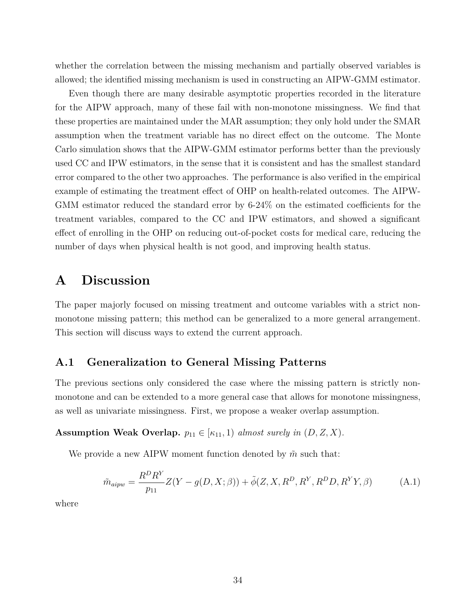whether the correlation between the missing mechanism and partially observed variables is allowed; the identified missing mechanism is used in constructing an AIPW-GMM estimator.

Even though there are many desirable asymptotic properties recorded in the literature for the AIPW approach, many of these fail with non-monotone missingness. We find that these properties are maintained under the MAR assumption; they only hold under the SMAR assumption when the treatment variable has no direct effect on the outcome. The Monte Carlo simulation shows that the AIPW-GMM estimator performs better than the previously used CC and IPW estimators, in the sense that it is consistent and has the smallest standard error compared to the other two approaches. The performance is also verified in the empirical example of estimating the treatment effect of OHP on health-related outcomes. The AIPW-GMM estimator reduced the standard error by 6-24% on the estimated coefficients for the treatment variables, compared to the CC and IPW estimators, and showed a significant effect of enrolling in the OHP on reducing out-of-pocket costs for medical care, reducing the number of days when physical health is not good, and improving health status.

# <span id="page-33-0"></span>**A Discussion**

The paper majorly focused on missing treatment and outcome variables with a strict nonmonotone missing pattern; this method can be generalized to a more general arrangement. This section will discuss ways to extend the current approach.

## **A.1 Generalization to General Missing Patterns**

The previous sections only considered the case where the missing pattern is strictly nonmonotone and can be extended to a more general case that allows for monotone missingness, as well as univariate missingness. First, we propose a weaker overlap assumption.

#### **Assumption Weak Overlap.**  $p_{11} \in [\kappa_{11}, 1]$  *almost surely in*  $(D, Z, X)$ *.*

We provide a new AIPW moment function denoted by  $\tilde{m}$  such that:

$$
\tilde{m}_{aipw} = \frac{R^D R^Y}{p_{11}} Z(Y - g(D, X; \beta)) + \tilde{\phi}(Z, X, R^D, R^Y, R^D D, R^Y Y, \beta)
$$
\n(A.1)

where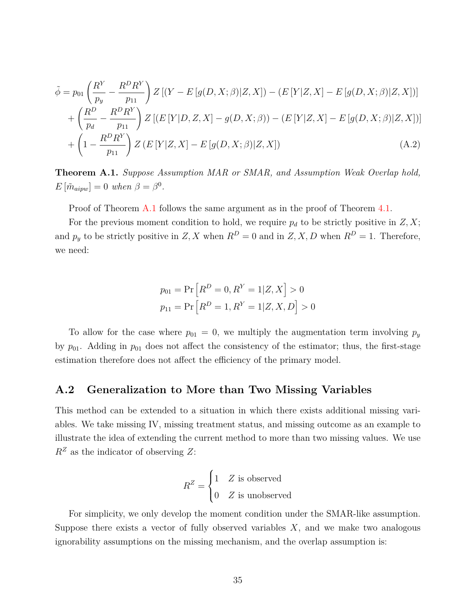$$
\tilde{\phi} = p_{01} \left( \frac{R^Y}{p_y} - \frac{R^D R^Y}{p_{11}} \right) Z \left[ (Y - E \left[ g(D, X; \beta) | Z, X] \right) - (E \left[ Y | Z, X \right] - E \left[ g(D, X; \beta) | Z, X \right] \right) \right] + \left( \frac{R^D}{p_d} - \frac{R^D R^Y}{p_{11}} \right) Z \left[ (E \left[ Y | D, Z, X] - g(D, X; \beta) \right) - (E \left[ Y | Z, X] - E \left[ g(D, X; \beta) | Z, X \right] \right) \right] + \left( 1 - \frac{R^D R^Y}{p_{11}} \right) Z \left( E \left[ Y | Z, X \right] - E \left[ g(D, X; \beta) | Z, X \right] \right) \tag{A.2}
$$

<span id="page-34-0"></span>**Theorem A.1.** *Suppose Assumption MAR or SMAR, and Assumption Weak Overlap hold,*  $E\left[\tilde{m}_{aipw}\right] = 0$  *when*  $\beta = \beta^0$ *.* 

Proof of Theorem [A.1](#page-34-0) follows the same argument as in the proof of Theorem [4.1.](#page-16-0)

For the previous moment condition to hold, we require  $p_d$  to be strictly positive in  $Z, X$ ; and  $p_y$  to be strictly positive in *Z, X* when  $R^D = 0$  and in *Z, X, D* when  $R^D = 1$ . Therefore, we need:

$$
p_{01} = \Pr[R^D = 0, R^Y = 1 | Z, X] > 0
$$

$$
p_{11} = \Pr[R^D = 1, R^Y = 1 | Z, X, D] > 0
$$

To allow for the case where  $p_{01} = 0$ , we multiply the augmentation term involving  $p_y$ by  $p_{01}$ . Adding in  $p_{01}$  does not affect the consistency of the estimator; thus, the first-stage estimation therefore does not affect the efficiency of the primary model.

#### **A.2 Generalization to More than Two Missing Variables**

This method can be extended to a situation in which there exists additional missing variables. We take missing IV, missing treatment status, and missing outcome as an example to illustrate the idea of extending the current method to more than two missing values. We use  $R^Z$  as the indicator of observing  $Z$ :

$$
R^Z = \begin{cases} 1 & Z \text{ is observed} \\ 0 & Z \text{ is unobserved} \end{cases}
$$

For simplicity, we only develop the moment condition under the SMAR-like assumption. Suppose there exists a vector of fully observed variables *X*, and we make two analogous ignorability assumptions on the missing mechanism, and the overlap assumption is: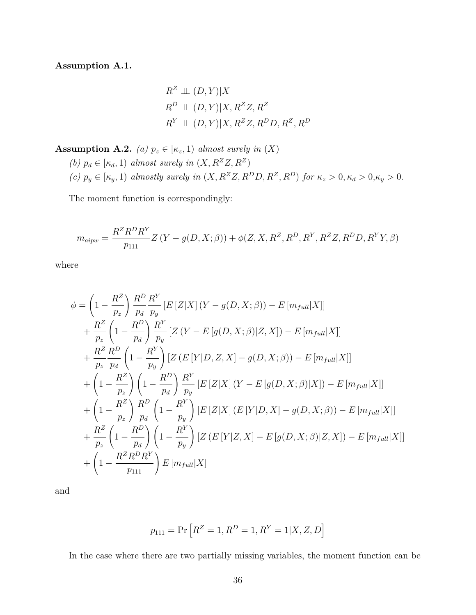<span id="page-35-0"></span>**Assumption A.1.**

$$
R^{Z} \perp \!\!\!\perp (D, Y)|X
$$
  
\n
$$
R^{D} \perp \!\!\!\perp (D, Y)|X, R^{Z}Z, R^{Z}
$$
  
\n
$$
R^{Y} \perp \!\!\!\perp (D, Y)|X, R^{Z}Z, R^{D}D, R^{Z}, R^{D}
$$

<span id="page-35-1"></span>**Assumption A.2.** *(a)*  $p_z \in [\kappa_z, 1)$  *almost surely in*  $(X)$ 

*(b)*  $p_d \in [\kappa_d, 1)$  *almost surely in*  $(X, R^Z Z, R^Z)$ (c)  $p_y \in [\kappa_y, 1]$  almostly surely in  $(X, R^Z Z, R^D D, R^Z, R^D)$  for  $\kappa_z > 0, \kappa_d > 0, \kappa_y > 0$ .

The moment function is correspondingly:

$$
m_{aipw} = \frac{R^Z R^D R^Y}{p_{111}} Z(Y - g(D, X; \beta)) + \phi(Z, X, R^Z, R^D, R^Y, R^Z Z, R^D D, R^Y Y, \beta)
$$

where

$$
\phi = \left(1 - \frac{R^2}{p_z}\right) \frac{R^D}{p_d} \frac{R^Y}{p_y} \left[E\left[Z|X\right](Y - g(D, X; \beta)) - E\left[m_{full}|X\right]\right] \n+ \frac{R^Z}{p_z} \left(1 - \frac{R^D}{p_d}\right) \frac{R^Y}{p_y} \left[Z\left(Y - E\left[g(D, X; \beta)|Z, X\right]\right) - E\left[m_{full}|X\right]\right] \n+ \frac{R^Z}{p_z} \frac{R^D}{p_d} \left(1 - \frac{R^Y}{p_y}\right) \left[Z\left(E\left[Y|D, Z, X\right] - g(D, X; \beta)\right) - E\left[m_{full}|X\right]\right] \n+ \left(1 - \frac{R^Z}{p_z}\right) \left(1 - \frac{R^D}{p_d}\right) \frac{R^Y}{p_y} \left[E\left[Z|X\right](Y - E\left[g(D, X; \beta)|X\right]\right) - E\left[m_{full}|X\right]\right] \n+ \left(1 - \frac{R^Z}{p_z}\right) \frac{R^D}{p_d} \left(1 - \frac{R^Y}{p_y}\right) \left[E\left[Z|X\right](E\left[Y|D, X\right] - g(D, X; \beta)\right) - E\left[m_{full}|X\right]\right] \n+ \frac{R^Z}{p_z} \left(1 - \frac{R^D}{p_d}\right) \left(1 - \frac{R^Y}{p_y}\right) \left[Z\left(E\left[Y|Z, X\right] - E\left[g(D, X; \beta)|Z, X\right]\right) - E\left[m_{full}|X\right]\right] \n+ \left(1 - \frac{R^Z R^D R^Y}{p_{111}}\right) E\left[m_{full}|X\right]
$$

and

$$
p_{111} = \Pr\left[R^Z = 1, R^D = 1, R^Y = 1 | X, Z, D\right]
$$

In the case where there are two partially missing variables, the moment function can be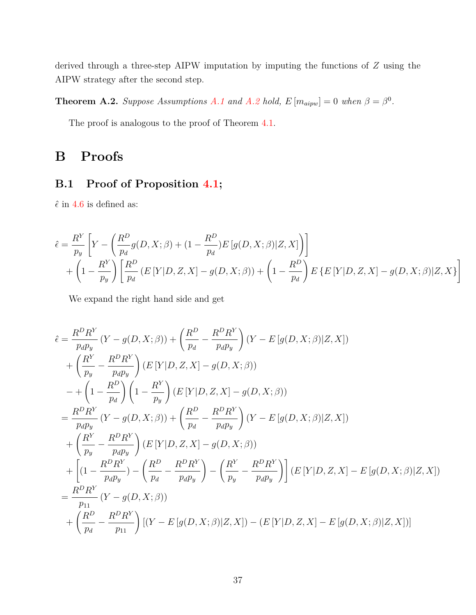derived through a three-step AIPW imputation by imputing the functions of *Z* using the AIPW strategy after the second step.

**Theorem [A.2](#page-35-1).** *Suppose Assumptions [A.1](#page-35-0) and A.2 hold,*  $E[m_{aipw}] = 0$  *when*  $\beta = \beta^0$ *.* 

The proof is analogous to the proof of Theorem [4.1.](#page-16-0)

# **B Proofs**

## **B.1 Proof of Proposition [4.1;](#page-15-3)**

 $\hat{\epsilon}$  in [4.6](#page-15-2) is defined as:

$$
\hat{\epsilon} = \frac{R^Y}{p_y} \left[ Y - \left( \frac{R^D}{p_d} g(D, X; \beta) + (1 - \frac{R^D}{p_d}) E \left[ g(D, X; \beta) | Z, X \right] \right) \right]
$$
  
+ 
$$
\left( 1 - \frac{R^Y}{p_y} \right) \left[ \frac{R^D}{p_d} \left( E \left[ Y | D, Z, X \right] - g(D, X; \beta) \right) + \left( 1 - \frac{R^D}{p_d} \right) E \left\{ E \left[ Y | D, Z, X \right] - g(D, X; \beta) | Z, X \right\} \right]
$$

We expand the right hand side and get

$$
\hat{\epsilon} = \frac{R^D R^Y}{p_a p_y} (Y - g(D, X; \beta)) + \left(\frac{R^D}{p_d} - \frac{R^D R^Y}{p_d p_y}\right) (Y - E[g(D, X; \beta)]Z, X]) \n+ \left(\frac{R^Y}{p_y} - \frac{R^D R^Y}{p_d p_y}\right) (E[Y|D, Z, X] - g(D, X; \beta)) \n- + \left(1 - \frac{R^D}{p_d}\right) \left(1 - \frac{R^Y}{p_y}\right) (E[Y|D, Z, X] - g(D, X; \beta)) \n= \frac{R^D R^Y}{p_d p_y} (Y - g(D, X; \beta)) + \left(\frac{R^D}{p_d} - \frac{R^D R^Y}{p_d p_y}\right) (Y - E[g(D, X; \beta)]Z, X]) \n+ \left(\frac{R^Y}{p_y} - \frac{R^D R^Y}{p_d p_y}\right) (E[Y|D, Z, X] - g(D, X; \beta)) \n+ \left[ (1 - \frac{R^D R^Y}{p_d p_y}) - \left(\frac{R^D}{p_d} - \frac{R^D R^Y}{p_d p_y}\right) - \left(\frac{R^Y}{p_y} - \frac{R^D R^Y}{p_d p_y}\right) \right] (E[Y|D, Z, X] - E[g(D, X; \beta)|Z, X]) \n= \frac{R^D R^Y}{p_{11}} (Y - g(D, X; \beta)) \n+ \left(\frac{R^D}{p_d} - \frac{R^D R^Y}{p_{11}}\right) [(Y - E[g(D, X; \beta)|Z, X]) - (E[Y|D, Z, X] - E[g(D, X; \beta)|Z, X])]
$$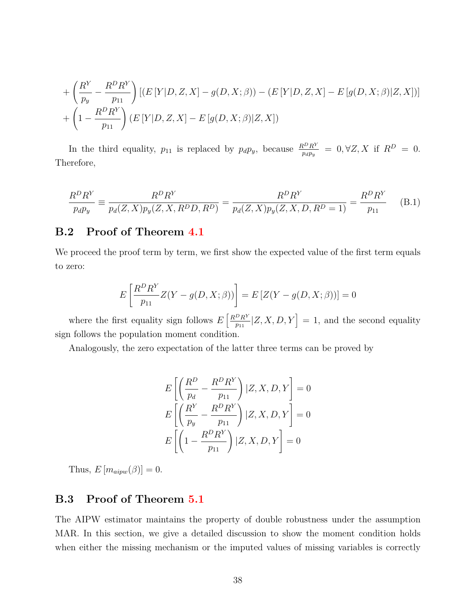+ 
$$
\left(\frac{R^Y}{p_y} - \frac{R^D R^Y}{p_{11}}\right) \left[ (E[Y|D, Z, X] - g(D, X; \beta)) - (E[Y|D, Z, X] - E[g(D, X; \beta)|Z, X]) \right]
$$
  
+  $\left(1 - \frac{R^D R^Y}{p_{11}}\right) (E[Y|D, Z, X] - E[g(D, X; \beta)|Z, X])$ 

In the third equality,  $p_{11}$  is replaced by  $p_d p_y$ , because  $\frac{R^D R^Y}{p_d p_y} = 0, \forall Z, X$  if  $R^D = 0$ . Therefore,

$$
\frac{R^D R^Y}{p_d p_y} \equiv \frac{R^D R^Y}{p_d (Z, X) p_y (Z, X, R^D D, R^D)} = \frac{R^D R^Y}{p_d (Z, X) p_y (Z, X, D, R^D = 1)} = \frac{R^D R^Y}{p_{11}} \tag{B.1}
$$

## **B.2 Proof of Theorem [4.1](#page-16-0)**

We proceed the proof term by term, we first show the expected value of the first term equals to zero:

$$
E\left[\frac{R^D R^Y}{p_{11}} Z(Y - g(D, X; \beta))\right] = E\left[Z(Y - g(D, X; \beta))\right] = 0
$$

where the first equality sign follows  $E\left[\frac{R^D R^Y}{R^2}\right]$  $\left[\frac{p_R Y}{p_{11}} | Z, X, D, Y \right] = 1$ , and the second equality sign follows the population moment condition.

Analogously, the zero expectation of the latter three terms can be proved by

$$
E\left[\left(\frac{R^D}{p_d} - \frac{R^D R^Y}{p_{11}}\right) | Z, X, D, Y\right] = 0
$$
  

$$
E\left[\left(\frac{R^Y}{p_y} - \frac{R^D R^Y}{p_{11}}\right) | Z, X, D, Y\right] = 0
$$
  

$$
E\left[\left(1 - \frac{R^D R^Y}{p_{11}}\right) | Z, X, D, Y\right] = 0
$$

Thus,  $E[m_{aipw}(\beta)] = 0$ .

## **B.3 Proof of Theorem [5.1](#page-17-1)**

The AIPW estimator maintains the property of double robustness under the assumption MAR. In this section, we give a detailed discussion to show the moment condition holds when either the missing mechanism or the imputed values of missing variables is correctly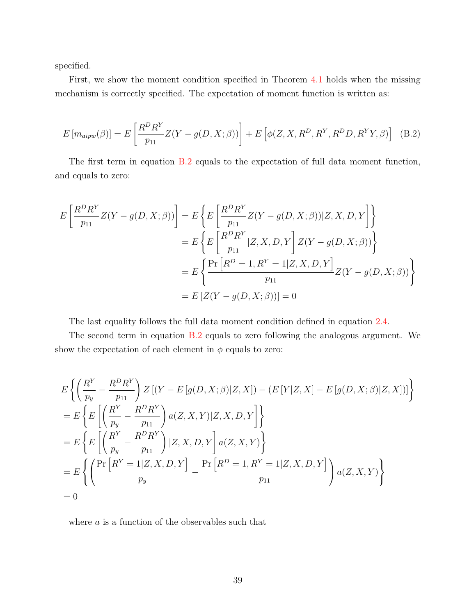specified.

First, we show the moment condition specified in Theorem [4.1](#page-16-0) holds when the missing mechanism is correctly specified. The expectation of moment function is written as:

<span id="page-38-0"></span>
$$
E\left[m_{aipw}(\beta)\right] = E\left[\frac{R^D R^Y}{p_{11}} Z(Y - g(D, X; \beta))\right] + E\left[\phi(Z, X, R^D, R^Y, R^D D, R^Y Y, \beta)\right]
$$
(B.2)

The first term in equation [B.2](#page-38-0) equals to the expectation of full data moment function, and equals to zero:

$$
E\left[\frac{R^D R^Y}{p_{11}} Z(Y - g(D, X; \beta))\right] = E\left\{E\left[\frac{R^D R^Y}{p_{11}} Z(Y - g(D, X; \beta))|Z, X, D, Y\right]\right\}
$$
  

$$
= E\left\{E\left[\frac{R^D R^Y}{p_{11}}|Z, X, D, Y\right] Z(Y - g(D, X; \beta))\right\}
$$
  

$$
= E\left\{\frac{\Pr\left[R^D = 1, R^Y = 1|Z, X, D, Y\right]}{p_{11}} Z(Y - g(D, X; \beta))\right\}
$$
  

$$
= E\left[Z(Y - g(D, X; \beta))\right] = 0
$$

The last equality follows the full data moment condition defined in equation [2.4.](#page-5-3)

The second term in equation [B.2](#page-38-0) equals to zero following the analogous argument. We show the expectation of each element in  $\phi$  equals to zero:

$$
E\left\{ \left( \frac{R^{Y}}{p_{y}} - \frac{R^{D}R^{Y}}{p_{11}} \right) Z\left[ (Y - E[g(D, X; \beta)|Z, X] \right) - (E[Y|Z, X] - E[g(D, X; \beta)|Z, X])] \right\}= E\left\{ E\left[ \left( \frac{R^{Y}}{p_{y}} - \frac{R^{D}R^{Y}}{p_{11}} \right) a(Z, X, Y)|Z, X, D, Y \right] \right\}= E\left\{ E\left[ \left( \frac{R^{Y}}{p_{y}} - \frac{R^{D}R^{Y}}{p_{11}} \right) |Z, X, D, Y \right] a(Z, X, Y) \right\}= E\left\{ \left( \frac{\Pr\left[ R^{Y} = 1|Z, X, D, Y \right]}{p_{y}} - \frac{\Pr\left[ R^{D} = 1, R^{Y} = 1|Z, X, D, Y \right]}{p_{11}} \right) a(Z, X, Y) \right\}= 0
$$

where *a* is a function of the observables such that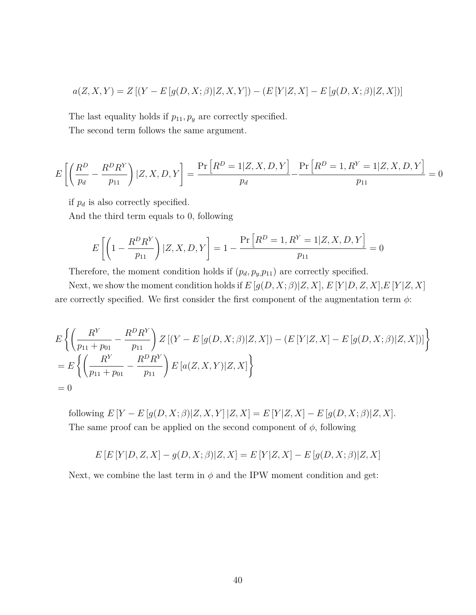$$
a(Z, X, Y) = Z [(Y – E[g(D, X; \beta) | Z, X, Y]) – (E [Y | Z, X] – E[g(D, X; \beta) | Z, X])]
$$

The last equality holds if  $p_{11}, p_y$  are correctly specified.

The second term follows the same argument.

$$
E\left[\left(\frac{R^D}{p_d} - \frac{R^D R^Y}{p_{11}}\right)|Z, X, D, Y\right] = \frac{\Pr\left[R^D = 1|Z, X, D, Y\right]}{p_d} - \frac{\Pr\left[R^D = 1, R^Y = 1|Z, X, D, Y\right]}{p_{11}} = 0
$$

if  $p_d$  is also correctly specified.

And the third term equals to 0, following

$$
E\left[\left(1 - \frac{R^D R^Y}{p_{11}}\right) | Z, X, D, Y\right] = 1 - \frac{\Pr\left[R^D = 1, R^Y = 1 | Z, X, D, Y\right]}{p_{11}} = 0
$$

Therefore, the moment condition holds if  $(p_d, p_y, p_{11})$  are correctly specified.

Next, we show the moment condition holds if  $E[g(D, X; \beta)|Z, X], E[Y|D, Z, X], E[Y|Z, X]$ are correctly specified. We first consider the first component of the augmentation term  $\phi$ :

$$
E\left\{ \left( \frac{R^Y}{p_{11} + p_{01}} - \frac{R^D R^Y}{p_{11}} \right) Z \left[ (Y - E \left[ g(D, X; \beta) | Z, X] \right) - (E \left[ Y | Z, X \right] - E \left[ g(D, X; \beta) | Z, X \right] \right) \right\}
$$
  
= 
$$
E\left\{ \left( \frac{R^Y}{p_{11} + p_{01}} - \frac{R^D R^Y}{p_{11}} \right) E \left[ a(Z, X, Y) | Z, X \right] \right\}
$$
  
= 0

following  $E[Y - E[g(D, X; \beta)|Z, X, Y]|Z, X] = E[Y|Z, X] - E[g(D, X; \beta)|Z, X].$ The same proof can be applied on the second component of  $\phi$ , following

$$
E\left[ E\left[ Y|D,Z,X\right] -g(D,X;\beta )|Z,X\right] =E\left[ Y|Z,X\right] -E\left[ g(D,X;\beta )|Z,X\right]
$$

Next, we combine the last term in  $\phi$  and the IPW moment condition and get: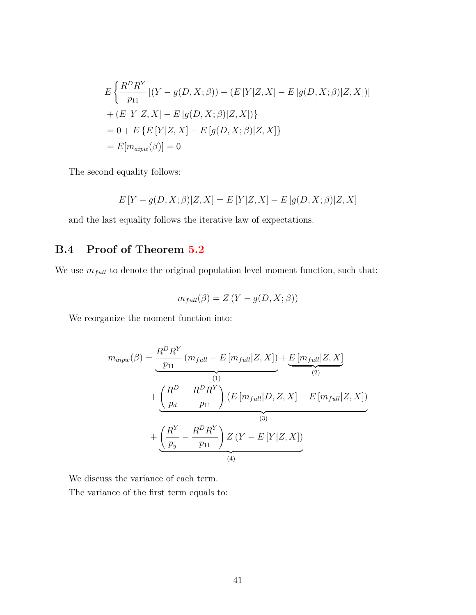$$
E\left\{\frac{R^D R^Y}{p_{11}}\left[(Y - g(D, X; \beta)) - (E[Y|Z, X] - E[g(D, X; \beta)|Z, X]\right)\right\}+ (E[Y|Z, X] - E[g(D, X; \beta)|Z, X])\}= 0 + E\left\{E[Y|Z, X] - E[g(D, X; \beta)|Z, X]\right\}= E[m_{aipw}(\beta)] = 0
$$

The second equality follows:

$$
E[Y - g(D, X; \beta)|Z, X] = E[Y|Z, X] - E[g(D, X; \beta)|Z, X]
$$

and the last equality follows the iterative law of expectations.

## <span id="page-40-0"></span>**B.4 Proof of Theorem [5.2](#page-17-2)**

We use  $m_{full}$  to denote the original population level moment function, such that:

$$
m_{full}(\beta) = Z(Y - g(D, X; \beta))
$$

We reorganize the moment function into:

$$
m_{aipw}(\beta) = \underbrace{\frac{R^D R^Y}{p_{11}} (m_{full} - E [m_{full} | Z, X])}_{(1)} + \underbrace{\left(\frac{R^D}{p_d} - \frac{R^D R^Y}{p_{11}}\right) (E [m_{full} | D, Z, X] - E [m_{full} | Z, X])}_{(3)} + \underbrace{\left(\frac{R^Y}{p_y} - \frac{R^D R^Y}{p_{11}}\right) Z (Y - E [Y | Z, X])}_{(4)}
$$

We discuss the variance of each term.

The variance of the first term equals to: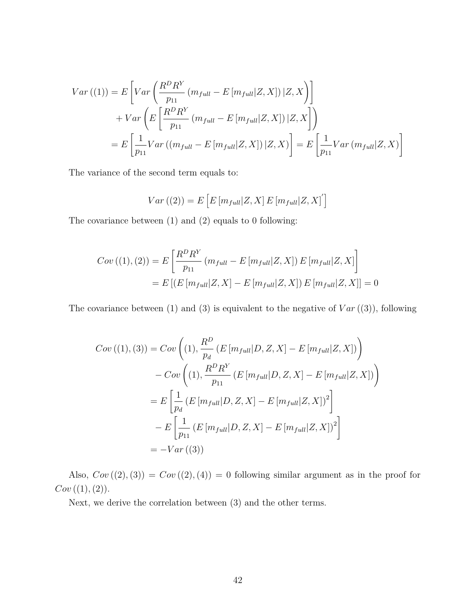$$
Var((1)) = E\left[Var\left(\frac{R^D R^Y}{p_{11}}\left(m_{full} - E\left[m_{full}|Z, X\right]\right)|Z, X\right)\right]
$$

$$
+ Var\left(E\left[\frac{R^D R^Y}{p_{11}}\left(m_{full} - E\left[m_{full}|Z, X\right]\right)|Z, X\right]\right)
$$

$$
= E\left[\frac{1}{p_{11}} Var\left((m_{full} - E\left[m_{full}|Z, X\right])|Z, X\right)\right] = E\left[\frac{1}{p_{11}} Var\left(m_{full}|Z, X\right)\right]
$$

The variance of the second term equals to:

$$
Var((2)) = E\left[E\left[m_{full}|Z, X\right]E\left[m_{full}|Z, X\right]\right]
$$

The covariance between (1) and (2) equals to 0 following:

$$
Cov ((1), (2)) = E \left[ \frac{R^D R^Y}{p_{11}} (m_{full} - E [m_{full} | Z, X]) E [m_{full} | Z, X] \right]
$$
  
= 
$$
E \left[ (E [m_{full} | Z, X] - E [m_{full} | Z, X]) E [m_{full} | Z, X] \right] = 0
$$

The covariance between  $(1)$  and  $(3)$  is equivalent to the negative of  $Var((3))$ , following

$$
Cov((1), (3)) = Cov\left((1), \frac{R^D}{p_d} (E[m_{full}|D, Z, X] - E[m_{full}|Z, X])\right)
$$

$$
- Cov\left((1), \frac{R^D R^Y}{p_{11}} (E[m_{full}|D, Z, X] - E[m_{full}|Z, X])\right)
$$

$$
= E\left[\frac{1}{p_d} (E[m_{full}|D, Z, X] - E[m_{full}|Z, X])^2\right]
$$

$$
- E\left[\frac{1}{p_{11}} (E[m_{full}|D, Z, X] - E[m_{full}|Z, X])^2\right]
$$

$$
= -Var((3))
$$

Also,  $Cov((2), (3)) = Cov((2), (4)) = 0$  following similar argument as in the proof for  $Cov((1), (2)).$ 

Next, we derive the correlation between (3) and the other terms.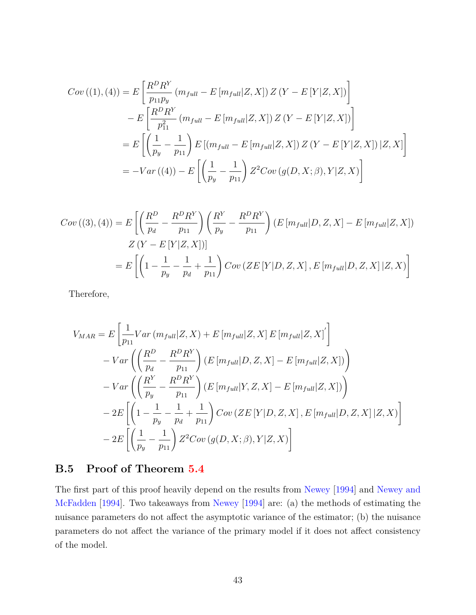$$
Cov((1), (4)) = E\left[\frac{R^D R^Y}{p_{11}p_y} (m_{full} - E[m_{full}|Z, X]) Z (Y - E[Y|Z, X])\right]
$$
  

$$
- E\left[\frac{R^D R^Y}{p_{11}^2} (m_{full} - E[m_{full}|Z, X]) Z (Y - E[Y|Z, X])\right]
$$
  

$$
= E\left[\left(\frac{1}{p_y} - \frac{1}{p_{11}}\right) E\left[(m_{full} - E[m_{full}|Z, X]) Z (Y - E[Y|Z, X]) |Z, X\right]\right]
$$
  

$$
= -Var((4)) - E\left[\left(\frac{1}{p_y} - \frac{1}{p_{11}}\right) Z^2 Cov(g(D, X; \beta), Y|Z, X)\right]
$$

$$
Cov((3), (4)) = E\left[\left(\frac{R^D}{p_d} - \frac{R^D R^Y}{p_{11}}\right) \left(\frac{R^Y}{p_y} - \frac{R^D R^Y}{p_{11}}\right) (E\left[m_{full}|D, Z, X\right] - E\left[m_{full}|Z, X\right]\right)
$$
  

$$
Z\left(Y - E\left[Y|Z, X\right]\right)
$$
  

$$
= E\left[\left(1 - \frac{1}{p_y} - \frac{1}{p_d} + \frac{1}{p_{11}}\right) Cov\left(ZE\left[Y|D, Z, X\right], E\left[m_{full}|D, Z, X\right]|Z, X\right)\right]
$$

Therefore,

$$
V_{MAR} = E\left[\frac{1}{p_{11}}Var\left(m_{full}|Z, X\right) + E\left[m_{full}|Z, X\right]E\left[m_{full}|Z, X\right]'\right] - Var\left(\left(\frac{R^D}{p_d} - \frac{R^D R^Y}{p_{11}}\right)(E\left[m_{full}|D, Z, X\right] - E\left[m_{full}|Z, X\right])\right) - Var\left(\left(\frac{R^Y}{p_y} - \frac{R^D R^Y}{p_{11}}\right)(E\left[m_{full}|Y, Z, X\right] - E\left[m_{full}|Z, X\right])\right) - 2E\left[\left(1 - \frac{1}{p_y} - \frac{1}{p_d} + \frac{1}{p_{11}}\right)Cov\left(ZE\left[Y|D, Z, X\right], E\left[m_{full}|D, Z, X\right]|Z, X\right)\right] - 2E\left[\left(\frac{1}{p_y} - \frac{1}{p_{11}}\right)Z^2Cov\left(g(D, X; \beta), Y|Z, X\right)\right]
$$

## <span id="page-42-0"></span>**B.5 Proof of Theorem [5.4](#page-18-1)**

The first part of this proof heavily depend on the results from [Newey](#page-57-11) [\[1994\]](#page-57-11) and [Newey and](#page-57-7) [McFadden](#page-57-7) [\[1994\]](#page-57-7). Two takeaways from [Newey](#page-57-11) [\[1994\]](#page-57-11) are: (a) the methods of estimating the nuisance parameters do not affect the asymptotic variance of the estimator; (b) the nuisance parameters do not affect the variance of the primary model if it does not affect consistency of the model.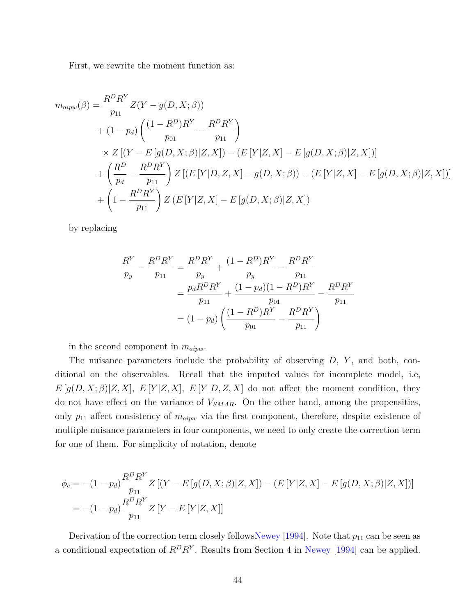First, we rewrite the moment function as:

$$
m_{aipw}(\beta) = \frac{R^D R^Y}{p_{11}} Z(Y - g(D, X; \beta))
$$
  
+  $(1 - p_d) \left( \frac{(1 - R^D)R^Y}{p_{01}} - \frac{R^D R^Y}{p_{11}} \right)$   
×  $Z [(Y - E [g(D, X; \beta) | Z, X]) - (E [Y | Z, X] - E [g(D, X; \beta) | Z, X])]$   
+  $\left( \frac{R^D}{p_d} - \frac{R^D R^Y}{p_{11}} \right) Z [(E [Y | D, Z, X] - g(D, X; \beta)) - (E [Y | Z, X] - E [g(D, X; \beta) | Z, X])]$   
+  $\left( 1 - \frac{R^D R^Y}{p_{11}} \right) Z (E [Y | Z, X] - E [g(D, X; \beta) | Z, X])$ 

by replacing

$$
\frac{R^Y}{p_y} - \frac{R^D R^Y}{p_{11}} = \frac{R^D R^Y}{p_y} + \frac{(1 - R^D)R^Y}{p_y} - \frac{R^D R^Y}{p_{11}}
$$

$$
= \frac{p_d R^D R^Y}{p_{11}} + \frac{(1 - p_d)(1 - R^D)R^Y}{p_{01}} - \frac{R^D R^Y}{p_{11}}
$$

$$
= (1 - p_d) \left(\frac{(1 - R^D)R^Y}{p_{01}} - \frac{R^D R^Y}{p_{11}}\right)
$$

in the second component in *maipw*.

The nuisance parameters include the probability of observing *D*, *Y* , and both, conditional on the observables. Recall that the imputed values for incomplete model, i.e,  $E[g(D, X; \beta)|Z, X], E[Y|Z, X], E[Y|D, Z, X]$  do not affect the moment condition, they do not have effect on the variance of *VSMAR*. On the other hand, among the propensities, only  $p_{11}$  affect consistency of  $m_{aipw}$  via the first component, therefore, despite existence of multiple nuisance parameters in four components, we need to only create the correction term for one of them. For simplicity of notation, denote

$$
\phi_c = -(1 - p_d) \frac{R^D R^Y}{p_{11}} Z [(Y - E[g(D, X; \beta) | Z, X]) - (E[Y | Z, X] - E[g(D, X; \beta) | Z, X])]
$$
  
= -(1 - p\_d) \frac{R^D R^Y}{p\_{11}} Z [Y - E[Y | Z, X]]

Derivation of the correction term closely follow[sNewey](#page-57-11) [\[1994\]](#page-57-11). Note that  $p_{11}$  can be seen as a conditional expectation of  $R^D R^Y$ . Results from Section 4 in [Newey](#page-57-11) [\[1994\]](#page-57-11) can be applied.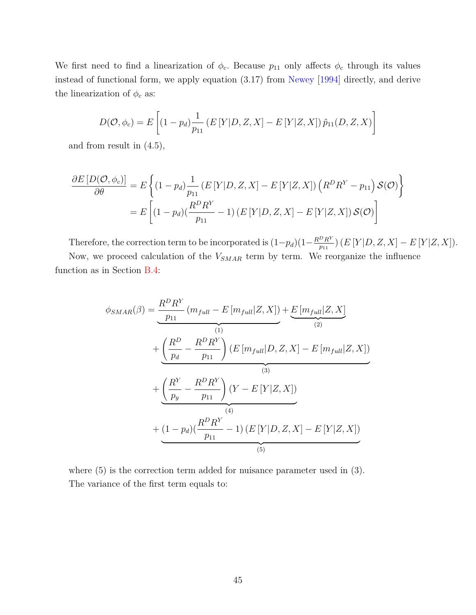We first need to find a linearization of  $\phi_c$ . Because  $p_{11}$  only affects  $\phi_c$  through its values instead of functional form, we apply equation (3.17) from [Newey](#page-57-11) [\[1994\]](#page-57-11) directly, and derive the linearization of  $\phi_c$  as:

$$
D(\mathcal{O}, \phi_c) = E\left[ (1 - p_d) \frac{1}{p_{11}} \left( E\left[ Y | D, Z, X \right] - E\left[ Y | Z, X \right] \right) \hat{p}_{11}(D, Z, X) \right]
$$

and from result in (4.5),

$$
\frac{\partial E\left[D(\mathcal{O}, \phi_c)\right]}{\partial \theta} = E\left\{ (1 - p_d) \frac{1}{p_{11}} \left( E\left[Y|D, Z, X\right] - E\left[Y|Z, X\right] \right) \left( R^D R^Y - p_{11} \right) \mathcal{S}(\mathcal{O}) \right\}
$$

$$
= E\left[ (1 - p_d) \left( \frac{R^D R^Y}{p_{11}} - 1 \right) \left( E\left[Y|D, Z, X\right] - E\left[Y|Z, X\right] \right) \mathcal{S}(\mathcal{O}) \right]
$$

Therefore, the correction term to be incorporated is  $(1-p_d)(1-\frac{R^D R^Y}{p_1}$  $\frac{p_{R}^{T}}{p_{11}}$ ) (*E* [*Y* |*D*, *Z*, *X*] – *E* [*Y* |*Z*, *X*]).

Now, we proceed calculation of the *VSMAR* term by term. We reorganize the influence function as in Section [B.4:](#page-40-0)

$$
\phi_{SMAR}(\beta) = \underbrace{\frac{R^D R^Y}{p_{11}} (m_{full} - E [m_{full} | Z, X])}_{(1)} + \underbrace{\left(\frac{R^D}{p_d} - \frac{R^D R^Y}{p_{11}}\right)}_{(1)} (E [m_{full} | D, Z, X] - E [m_{full} | Z, X])
$$
\n
$$
+ \underbrace{\left(\frac{R^Y}{p_y} - \frac{R^D R^Y}{p_{11}}\right)}_{(4)} (Y - E [Y | Z, X])
$$
\n
$$
+ \underbrace{\left(1 - p_d\right) \left(\frac{R^D R^Y}{p_{11}} - 1\right) (E [Y | D, Z, X] - E [Y | Z, X])}_{(5)}
$$

where  $(5)$  is the correction term added for nuisance parameter used in  $(3)$ *.* The variance of the first term equals to: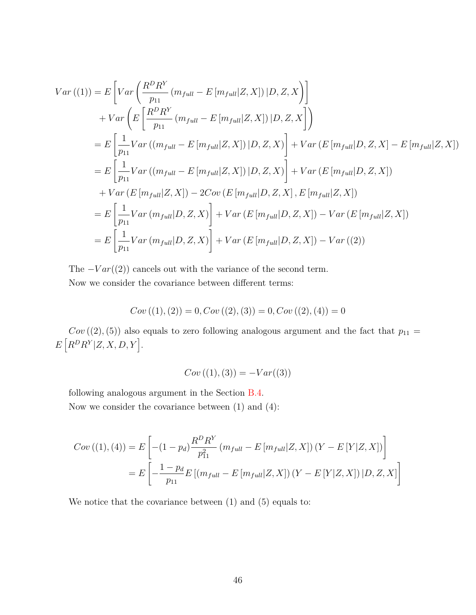$$
Var((1)) = E\left[Var\left(\frac{R^D R^Y}{p_{11}}\left(m_{full} - E\left[m_{full}|Z,X\right]\right)|D, Z, X\right)\right]
$$
  
+ 
$$
Var\left(E\left[\frac{R^D R^Y}{p_{11}}\left(m_{full} - E\left[m_{full}|Z,X\right]\right)|D, Z, X\right]\right)
$$
  
= 
$$
E\left[\frac{1}{p_{11}}Var\left((m_{full} - E\left[m_{full}|Z,X\right])|D, Z, X\right)\right] + Var\left(E\left[m_{full}|D, Z, X\right] - E\left[m_{full}|Z, X\right]\right)
$$
  
= 
$$
E\left[\frac{1}{p_{11}}Var\left((m_{full} - E\left[m_{full}|Z,X\right])|D, Z, X\right)\right] + Var\left(E\left[m_{full}|D, Z, X\right]\right)
$$
  
+ 
$$
Var\left(E\left[m_{full}|Z, X\right]\right) - 2Cov\left(E\left[m_{full}|D, Z, X\right], E\left[m_{full}|Z, X\right]\right)
$$
  
= 
$$
E\left[\frac{1}{p_{11}}Var\left(m_{full}|D, Z, X\right)\right] + Var\left(E\left[m_{full}|D, Z, X\right]\right) - Var\left(E\left[m_{full}|Z, X\right]\right)
$$
  
= 
$$
E\left[\frac{1}{p_{11}}Var\left(m_{full}|D, Z, X\right)\right] + Var\left(E\left[m_{full}|D, Z, X\right]\right) - Var\left(\left(2\right)\right)
$$

The  $-Var((2))$  cancels out with the variance of the second term.

Now we consider the covariance between different terms:

$$
Cov((1), (2)) = 0, Cov((2), (3)) = 0, Cov((2), (4)) = 0
$$

 $Cov((2), (5))$  also equals to zero following analogous argument and the fact that  $p_{11} =$  $E[R^D R^Y | Z, X, D, Y].$ 

$$
Cov((1), (3)) = -Var((3))
$$

following analogous argument in the Section [B.4.](#page-40-0)

Now we consider the covariance between  $(1)$  and  $(4)$ :

$$
Cov((1), (4)) = E\left[ -(1 - p_d) \frac{R^D R^Y}{p_{11}^2} (m_{full} - E[m_{full}|Z, X]) (Y - E[Y|Z, X]) \right]
$$
  
= 
$$
E\left[ -\frac{1 - p_d}{p_{11}} E\left[ (m_{full} - E[m_{full}|Z, X]) (Y - E[Y|Z, X]) |D, Z, X \right] \right]
$$

We notice that the covariance between (1) and (5) equals to: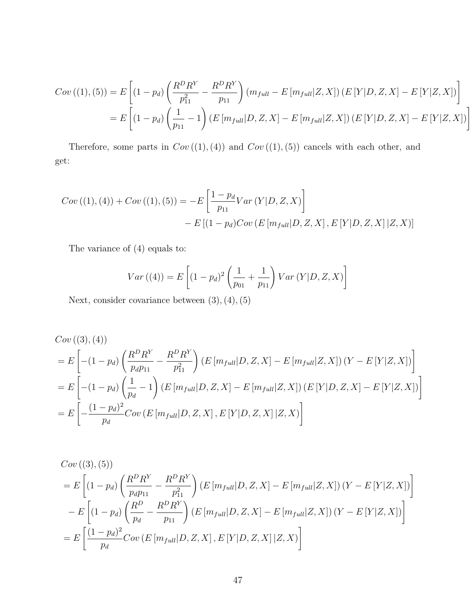$$
Cov((1), (5)) = E\left[ (1 - p_d) \left( \frac{R^D R^Y}{p_{11}^2} - \frac{R^D R^Y}{p_{11}} \right) (m_{full} - E\left[m_{full} | Z, X\right]) (E\left[Y | D, Z, X\right] - E\left[Y | Z, X\right]) \right]
$$
  
= 
$$
E\left[ (1 - p_d) \left( \frac{1}{p_{11}} - 1 \right) (E\left[m_{full} | D, Z, X\right] - E\left[m_{full} | Z, X\right]) (E\left[Y | D, Z, X\right] - E\left[Y | Z, X\right]) \right]
$$

Therefore, some parts in  $Cov((1), (4))$  and  $Cov((1), (5))$  cancels with each other, and get:

$$
Cov((1), (4)) + Cov((1), (5)) = -E\left[\frac{1 - p_d}{p_{11}}Var(Y|D, Z, X)\right] - E[(1 - p_d)Cov(E[m_{full}|D, Z, X], E[Y|D, Z, X]|Z, X)]
$$

The variance of (4) equals to:

$$
Var((4)) = E\left[ (1 - p_d)^2 \left( \frac{1}{p_{01}} + \frac{1}{p_{11}} \right) Var(Y|D, Z, X) \right]
$$

Next, consider covariance between (3)*,*(4)*,*(5)

$$
Cov((3), (4))
$$
  
=  $E\left[ -(1 - p_d) \left( \frac{R^D R^Y}{p_d p_{11}} - \frac{R^D R^Y}{p_{11}^2} \right) (E\left[ m_{full} | D, Z, X \right] - E\left[ m_{full} | Z, X \right] ) (Y - E\left[ Y | Z, X \right] ) \right]$   
=  $E\left[ -(1 - p_d) \left( \frac{1}{p_d} - 1 \right) (E\left[ m_{full} | D, Z, X \right] - E\left[ m_{full} | Z, X \right] ) (E\left[ Y | D, Z, X \right] - E\left[ Y | Z, X \right] ) \right]$   
=  $E\left[ -\frac{(1 - p_d)^2}{p_d} Cov\left( E\left[ m_{full} | D, Z, X \right], E\left[ Y | D, Z, X \right] | Z, X \right) \right]$ 

$$
Cov((3), (5))
$$
  
=  $E\left[ (1 - p_d) \left( \frac{R^D R^Y}{p_d p_{11}} - \frac{R^D R^Y}{p_{11}^2} \right) (E\left[ m_{full} | D, Z, X \right] - E\left[ m_{full} | Z, X \right] ) (Y - E\left[ Y | Z, X \right]) \right]$   
-  $E\left[ (1 - p_d) \left( \frac{R^D}{p_d} - \frac{R^D R^Y}{p_{11}} \right) (E\left[ m_{full} | D, Z, X \right] - E\left[ m_{full} | Z, X \right] ) (Y - E\left[ Y | Z, X \right]) \right]$   
=  $E\left[ \frac{(1 - p_d)^2}{p_d} Cov\left( E\left[ m_{full} | D, Z, X \right], E\left[ Y | D, Z, X \right] | Z, X \right) \right]$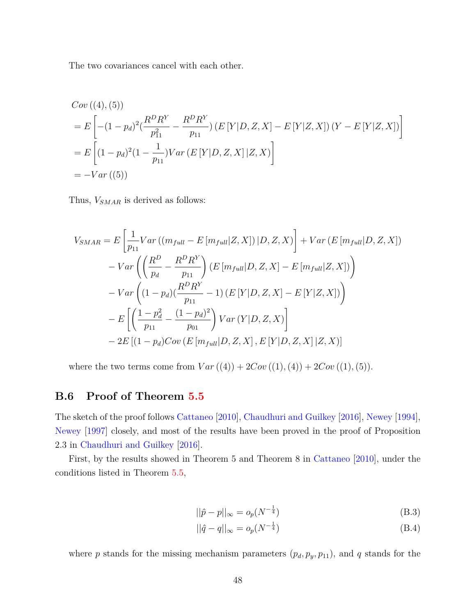The two covariances cancel with each other.

$$
Cov((4), (5))
$$
  
=  $E\left[ -(1 - p_d)^2 \left( \frac{R^D R^Y}{p_{11}^2} - \frac{R^D R^Y}{p_{11}} \right) (E[Y|D, Z, X] - E[Y|Z, X]) (Y - E[Y|Z, X]) \right]$   
=  $E\left[ (1 - p_d)^2 (1 - \frac{1}{p_{11}}) Var(E[Y|D, Z, X]|Z, X) \right]$   
=  $-Var((5))$ 

Thus, *VSMAR* is derived as follows:

$$
V_{SMAR} = E\left[\frac{1}{p_{11}}Var((m_{full} - E[m_{full}|Z, X]) | D, Z, X)\right] + Var(E[m_{full}|D, Z, X])
$$
  

$$
- Var\left(\left(\frac{R^D}{p_d} - \frac{R^D R^Y}{p_{11}}\right) (E[m_{full}|D, Z, X] - E[m_{full}|Z, X])\right)
$$
  

$$
- Var\left((1 - p_d)(\frac{R^D R^Y}{p_{11}} - 1) (E[Y|D, Z, X] - E[Y|Z, X])\right)
$$
  

$$
- E\left[\left(\frac{1 - p_d^2}{p_{11}} - \frac{(1 - p_d)^2}{p_{01}}\right) Var(Y|D, Z, X)\right]
$$
  

$$
- 2E[(1 - p_d)Cov(E[m_{full}|D, Z, X], E[Y|D, Z, X]|Z, X)]
$$

where the two terms come from  $Var((4)) + 2Cov((1), (4)) + 2Cov((1), (5)).$ 

## <span id="page-47-2"></span>**B.6 Proof of Theorem [5.5](#page-19-0)**

The sketch of the proof follows [Cattaneo](#page-56-4) [\[2010\]](#page-56-4), [Chaudhuri and Guilkey](#page-56-5) [\[2016\]](#page-56-5), [Newey](#page-57-11) [\[1994\]](#page-57-11), [Newey](#page-57-12) [\[1997\]](#page-57-12) closely, and most of the results have been proved in the proof of Proposition 2.3 in [Chaudhuri and Guilkey](#page-56-5) [\[2016\]](#page-56-5).

First, by the results showed in Theorem 5 and Theorem 8 in [Cattaneo](#page-56-4) [\[2010\]](#page-56-4), under the conditions listed in Theorem [5.5,](#page-19-0)

<span id="page-47-1"></span><span id="page-47-0"></span>
$$
||\hat{p} - p||_{\infty} = o_p(N^{-\frac{1}{4}})
$$
\n(B.3)

$$
||\hat{q} - q||_{\infty} = o_p(N^{-\frac{1}{4}})
$$
\n(B.4)

where *p* stands for the missing mechanism parameters  $(p_d, p_y, p_{11})$ , and *q* stands for the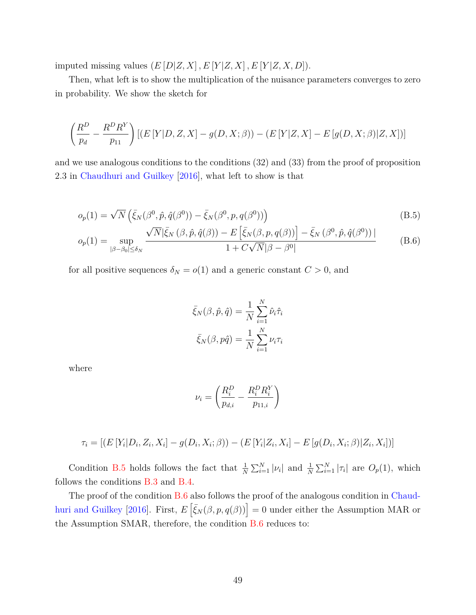imputed missing values  $(E[D|Z, X], E[Y|Z, X], E[Y|Z, X, D]).$ 

Then, what left is to show the multiplication of the nuisance parameters converges to zero in probability. We show the sketch for

$$
\left(\frac{R^D}{p_d} - \frac{R^D R^Y}{p_{11}}\right) \left[ (E[Y|D, Z, X] - g(D, X; \beta)) - (E[Y|Z, X] - E[g(D, X; \beta)|Z, X]) \right]
$$

and we use analogous conditions to the conditions (32) and (33) from the proof of proposition 2.3 in [Chaudhuri and Guilkey](#page-56-5) [\[2016\]](#page-56-5), what left to show is that

$$
o_p(1) = \sqrt{N} \left( \bar{\xi}_N(\beta^0, \hat{p}, \hat{q}(\beta^0)) - \bar{\xi}_N(\beta^0, p, q(\beta^0)) \right)
$$
(B.5)

$$
o_p(1) = \sup_{|\beta - \beta_0| \le \delta_N} \frac{\sqrt{N} |\bar{\xi}_N(\beta, \hat{p}, \hat{q}(\beta)) - E\left[\bar{\xi}_N(\beta, p, q(\beta))\right] - \bar{\xi}_N(\beta^0, \hat{p}, \hat{q}(\beta^0))|}{1 + C\sqrt{N}|\beta - \beta^0|}
$$
(B.6)

for all positive sequences  $\delta_N = o(1)$  and a generic constant  $C > 0$ , and

<span id="page-48-1"></span><span id="page-48-0"></span>
$$
\bar{\xi}_N(\beta, \hat{p}, \hat{q}) = \frac{1}{N} \sum_{i=1}^N \hat{\nu}_i \hat{\tau}_i
$$

$$
\bar{\xi}_N(\beta, p\hat{q}) = \frac{1}{N} \sum_{i=1}^N \nu_i \tau_i
$$

where

$$
\nu_i = \left(\frac{R_i^D}{p_{d,i}} - \frac{R_i^D R_i^Y}{p_{11,i}}\right)
$$

$$
\tau_i = [(E[Y_i | D_i, Z_i, X_i] - g(D_i, X_i; \beta)) - (E[Y_i | Z_i, X_i] - E[g(D_i, X_i; \beta)|Z_i, X_i])]
$$

Condition [B.5](#page-48-0) holds follows the fact that  $\frac{1}{N} \sum_{i=1}^{N} |\nu_i|$  and  $\frac{1}{N} \sum_{i=1}^{N} |\tau_i|$  are  $O_p(1)$ , which follows the conditions [B.3](#page-47-0) and [B.4.](#page-47-1)

The proof of the condition [B.6](#page-48-1) also follows the proof of the analogous condition in [Chaud](#page-56-5)[huri and Guilkey](#page-56-5) [\[2016\]](#page-56-5). First,  $E\left[\bar{\xi}_N(\beta, p, q(\beta))\right] = 0$  under either the Assumption MAR or the Assumption SMAR, therefore, the condition [B.6](#page-48-1) reduces to: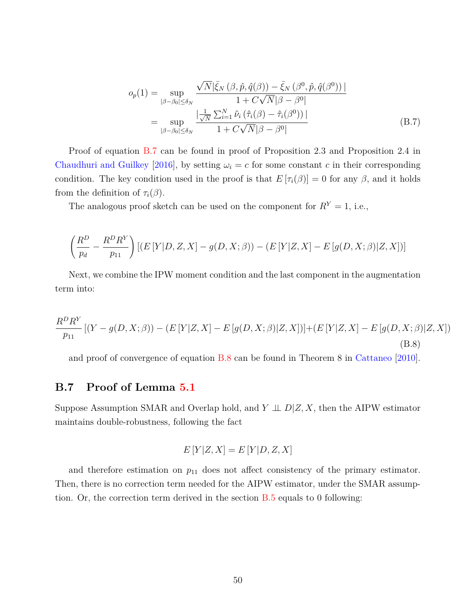<span id="page-49-0"></span>
$$
o_p(1) = \sup_{|\beta-\beta_0| \leq \delta_N} \frac{\sqrt{N} |\bar{\xi}_N(\beta, \hat{p}, \hat{q}(\beta)) - \bar{\xi}_N(\beta^0, \hat{p}, \hat{q}(\beta^0))|}{1 + C\sqrt{N}|\beta - \beta^0|}
$$
  
= 
$$
\sup_{|\beta-\beta_0| \leq \delta_N} \frac{|\frac{1}{\sqrt{N}} \sum_{i=1}^N \hat{\nu}_i(\hat{\tau}_i(\beta) - \hat{\tau}_i(\beta^0))|}{1 + C\sqrt{N}|\beta - \beta^0|}
$$
(B.7)

Proof of equation [B.7](#page-49-0) can be found in proof of Proposition 2.3 and Proposition 2.4 in [Chaudhuri and Guilkey](#page-56-5) [\[2016\]](#page-56-5), by setting  $\omega_i = c$  for some constant *c* in their corresponding condition. The key condition used in the proof is that  $E[\tau_i(\beta)] = 0$  for any  $\beta$ , and it holds from the definition of  $\tau_i(\beta)$ .

The analogous proof sketch can be used on the component for  $R<sup>Y</sup> = 1$ , i.e.,

$$
\left(\frac{R^D}{p_d} - \frac{R^D R^Y}{p_{11}}\right) \left[ (E[Y|D, Z, X] - g(D, X; \beta)) - (E[Y|Z, X] - E[g(D, X; \beta)|Z, X]) \right]
$$

Next, we combine the IPW moment condition and the last component in the augmentation term into:

<span id="page-49-1"></span>
$$
\frac{R^D R^Y}{p_{11}} [(Y - g(D, X; \beta)) - (E[Y|Z, X] - E[g(D, X; \beta)|Z, X])] + (E[Y|Z, X] - E[g(D, X; \beta)|Z, X])
$$
\n(B.8)

and proof of convergence of equation [B.8](#page-49-1) can be found in Theorem 8 in [Cattaneo](#page-56-4) [\[2010\]](#page-56-4).

## **B.7 Proof of Lemma [5.1](#page-20-0)**

Suppose Assumption SMAR and Overlap hold, and  $Y \perp\!\!\!\perp D|Z, X$ , then the AIPW estimator maintains double-robustness, following the fact

$$
E[Y|Z, X] = E[Y|D, Z, X]
$$

and therefore estimation on  $p_{11}$  does not affect consistency of the primary estimator. Then, there is no correction term needed for the AIPW estimator, under the SMAR assumption. Or, the correction term derived in the section [B.5](#page-42-0) equals to 0 following: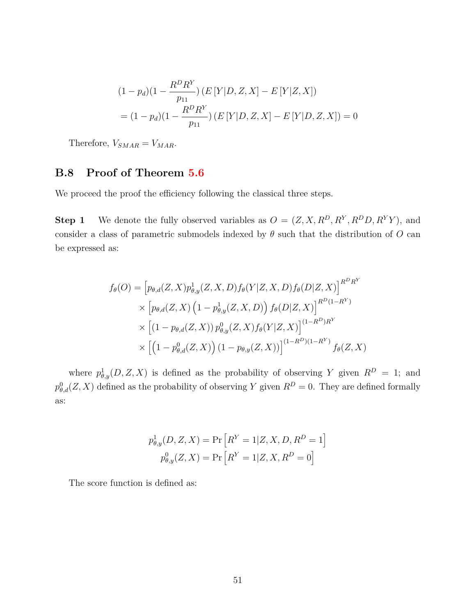$$
(1 - p_d)(1 - \frac{R^D R^Y}{p_{11}}) (E[Y|D, Z, X] - E[Y|Z, X])
$$
  
=  $(1 - p_d)(1 - \frac{R^D R^Y}{p_{11}}) (E[Y|D, Z, X] - E[Y|D, Z, X]) = 0$ 

Therefore,  $V_{SMAR} = V_{MAR}$ .

## **B.8 Proof of Theorem [5.6](#page-20-1)**

We proceed the proof the efficiency following the classical three steps.

**Step 1** We denote the fully observed variables as  $O = (Z, X, R^D, R^Y, R^D D, R^Y Y)$ , and consider a class of parametric submodels indexed by  $\theta$  such that the distribution of  $O$  can be expressed as:

$$
f_{\theta}(O) = \left[ p_{\theta,d}(Z, X) p_{\theta,y}^{1}(Z, X, D) f_{\theta}(Y|Z, X, D) f_{\theta}(D|Z, X) \right]^{R^{D}R^{Y}}
$$
  
 
$$
\times \left[ p_{\theta,d}(Z, X) \left( 1 - p_{\theta,y}^{1}(Z, X, D) \right) f_{\theta}(D|Z, X) \right]^{R^{D}(1 - R^{Y})}
$$
  
 
$$
\times \left[ (1 - p_{\theta,d}(Z, X)) p_{\theta,y}^{0}(Z, X) f_{\theta}(Y|Z, X) \right]^{(1 - R^{D})R^{Y}}
$$
  
 
$$
\times \left[ \left( 1 - p_{\theta,d}^{0}(Z, X) \right) (1 - p_{\theta,y}(Z, X)) \right]^{(1 - R^{D})(1 - R^{Y})} f_{\theta}(Z, X)
$$

where  $p_{\theta,y}^1(D, Z, X)$  is defined as the probability of observing *Y* given  $R^D = 1$ ; and  $p_{\theta,d}^0(Z,X)$  defined as the probability of observing *Y* given  $R^D=0$ . They are defined formally as:

$$
p_{\theta,y}^1(D, Z, X) = \Pr[R^Y = 1 | Z, X, D, R^D = 1]
$$

$$
p_{\theta,y}^0(Z, X) = \Pr[R^Y = 1 | Z, X, R^D = 0]
$$

The score function is defined as: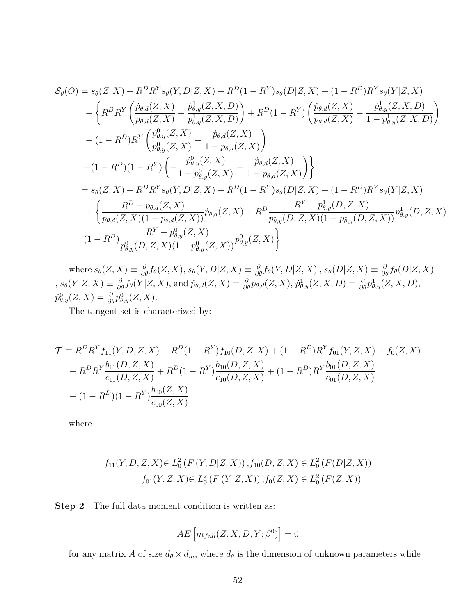$$
S_{\theta}(O) = s_{\theta}(Z, X) + R^{D}R^{Y}s_{\theta}(Y, D|Z, X) + R^{D}(1 - R^{Y})s_{\theta}(D|Z, X) + (1 - R^{D})R^{Y}s_{\theta}(Y|Z, X) + \left\{ R^{D}R^{Y}\left(\frac{\dot{p}_{\theta,d}(Z, X)}{p_{\theta,d}(Z, X)} + \frac{\dot{p}_{\theta,y}^{1}(Z, X, D)}{p_{\theta,y}^{1}(Z, X, D)}\right) + R^{D}(1 - R^{Y})\left(\frac{\dot{p}_{\theta,d}(Z, X)}{p_{\theta,d}(Z, X)} - \frac{\dot{p}_{\theta,y}^{1}(Z, X, D)}{1 - p_{\theta,y}^{1}(Z, X, D)}\right) + (1 - R^{D})R^{Y}\left(\frac{\dot{p}_{\theta,y}^{0}(Z, X)}{p_{\theta,y}^{0}(Z, X)} - \frac{\dot{p}_{\theta,d}(Z, X)}{1 - p_{\theta,d}(Z, X)}\right) + (1 - R^{D})(1 - R^{Y})\left(-\frac{\dot{p}_{\theta,y}^{0}(Z, X)}{1 - p_{\theta,y}^{0}(Z, X)} - \frac{\dot{p}_{\theta,d}(Z, X)}{1 - p_{\theta,d}(Z, X)}\right) \right\} = s_{\theta}(Z, X) + R^{D}R^{Y}s_{\theta}(Y, D|Z, X) + R^{D}(1 - R^{Y})s_{\theta}(D|Z, X) + (1 - R^{D})R^{Y}s_{\theta}(Y|Z, X) + \left\{\frac{R^{D} - p_{\theta,d}(Z, X)}{p_{\theta,d}(Z, X)(1 - p_{\theta,d}(Z, X))}\dot{p}_{\theta,d}(Z, X) + R^{D}\frac{R^{Y} - p_{\theta,y}^{1}(D, Z, X)}{p_{\theta,y}^{1}(D, Z, X)(1 - p_{\theta,y}^{1}(D, Z, X))}\dot{p}_{\theta,y}^{1}(D, Z, X) (1 - R^{D})\frac{R^{Y} - p_{\theta,y}^{0}(Z, X)}{p_{\theta,y}^{0}(D, Z, X)(1 - p_{\theta,y}^{0}(Z, X))}\dot{p}_{\theta,y}^{0}(Z, X) \right\}
$$

where  $s_{\theta}(Z, X) \equiv \frac{\partial}{\partial \theta} f_{\theta}(Z, X), s_{\theta}(Y, D|Z, X) \equiv \frac{\partial}{\partial \theta} f_{\theta}(Y, D|Z, X), s_{\theta}(D|Z, X) \equiv \frac{\partial}{\partial \theta} f_{\theta}(D|Z, X)$ ,  $s_{\theta}(Y|Z, X) \equiv \frac{\partial}{\partial \theta} f_{\theta}(Y|Z, X)$ , and  $\dot{p}_{\theta,d}(Z, X) = \frac{\partial}{\partial \theta} p_{\theta,d}(Z, X)$ ,  $\dot{p}_{\theta,y}^1(Z, X, D) = \frac{\partial}{\partial \theta} p_{\theta,y}^1(Z, X, D)$ ,  $\dot{p}^0_{\theta,y}(Z,X) = \frac{\partial}{\partial \theta} p^0_{\theta,y}(Z,X).$ 

The tangent set is characterized by:

$$
\mathcal{T} \equiv R^D R^Y f_{11}(Y, D, Z, X) + R^D (1 - R^Y) f_{10}(D, Z, X) + (1 - R^D) R^Y f_{01}(Y, Z, X) + f_0(Z, X) \n+ R^D R^Y \frac{b_{11}(D, Z, X)}{c_{11}(D, Z, X)} + R^D (1 - R^Y) \frac{b_{10}(D, Z, X)}{c_{10}(D, Z, X)} + (1 - R^D) R^Y \frac{b_{01}(D, Z, X)}{c_{01}(D, Z, X)} \n+ (1 - R^D) (1 - R^Y) \frac{b_{00}(Z, X)}{c_{00}(Z, X)}
$$

where

$$
f_{11}(Y, D, Z, X) \in L_0^2(F(Y, D|Z, X)), f_{10}(D, Z, X) \in L_0^2(F(D|Z, X))
$$
  

$$
f_{01}(Y, Z, X) \in L_0^2(F(Y|Z, X)), f_0(Z, X) \in L_0^2(F(Z, X))
$$

**Step 2** The full data moment condition is written as:

$$
AE\left[m_{full}(Z, X, D, Y; \beta^0)\right] = 0
$$

for any matrix *A* of size  $d_{\theta} \times d_m$ , where  $d_{\theta}$  is the dimension of unknown parameters while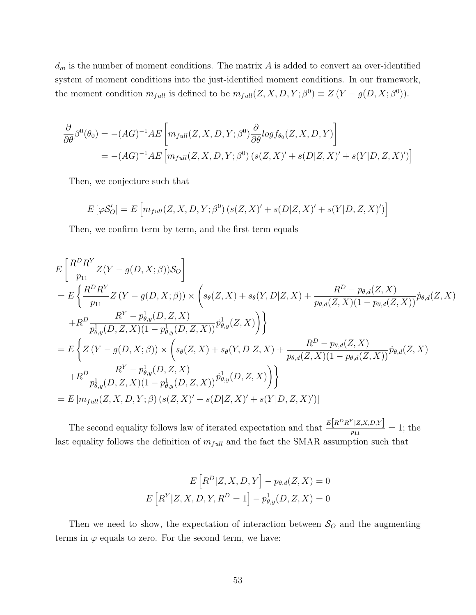$d_m$  is the number of moment conditions. The matrix  $A$  is added to convert an over-identified system of moment conditions into the just-identified moment conditions. In our framework, the moment condition  $m_{full}$  is defined to be  $m_{full}(Z, X, D, Y; \beta^0) \equiv Z(Y - g(D, X; \beta^0)).$ 

$$
\frac{\partial}{\partial \theta} \beta^0(\theta_0) = -(AG)^{-1} AE \left[ m_{full}(Z, X, D, Y; \beta^0) \frac{\partial}{\partial \theta} log f_{\theta_0}(Z, X, D, Y) \right]
$$
  
= -(AG)^{-1} AE \left[ m\_{full}(Z, X, D, Y; \beta^0) (s(Z, X)' + s(D|Z, X)' + s(Y|D, Z, X)') \right]

Then, we conjecture such that

$$
E[\varphi \mathcal{S}_O'] = E\left[m_{full}(Z, X, D, Y; \beta^0) \left(s(Z, X)' + s(D|Z, X)' + s(Y|D, Z, X)'\right)\right]
$$

Then, we confirm term by term, and the first term equals

$$
E\left[\frac{R^{D}R^{Y}}{p_{11}}Z(Y-g(D, X; \beta))S_{O}\right]
$$
  
=  $E\left\{\frac{R^{D}R^{Y}}{p_{11}}Z(Y-g(D, X; \beta)) \times \left(s_{\theta}(Z, X) + s_{\theta}(Y, D|Z, X) + \frac{R^{D} - p_{\theta,d}(Z, X)}{p_{\theta,d}(Z, X)(1 - p_{\theta,d}(Z, X))}\dot{p}_{\theta,d}(Z, X)\right)$   
+ $R^{D}\frac{R^{Y} - p_{\theta,y}^{1}(D, Z, X)}{p_{\theta,y}^{1}(D, Z, X)(1 - p_{\theta,y}^{1}(D, Z, X))}\dot{p}_{\theta,y}^{1}(Z, X)\right\}$   
=  $E\left\{Z(Y - g(D, X; \beta)) \times \left(s_{\theta}(Z, X) + s_{\theta}(Y, D|Z, X) + \frac{R^{D} - p_{\theta,d}(Z, X)}{p_{\theta,d}(Z, X)(1 - p_{\theta,d}(Z, X))}\dot{p}_{\theta,d}(Z, X)\right)$   
+ $R^{D}\frac{R^{Y} - p_{\theta,y}^{1}(D, Z, X)}{p_{\theta,y}^{1}(D, Z, X)(1 - p_{\theta,y}^{1}(D, Z, X))}\dot{p}_{\theta,y}^{1}(D, Z, X)\right\}$   
=  $E\left[m_{full}(Z, X, D, Y; \beta)\left(s(Z, X)' + s(D|Z, X)' + s(Y|D, Z, X)'\right)\right]$ 

The second equality follows law of iterated expectation and that  $\frac{E[R^DR^Y|Z,X,D,Y]}{p_{11}} = 1$ ; the last equality follows the definition of  $m_{full}$  and the fact the SMAR assumption such that

$$
E\left[R^D|Z, X, D, Y\right] - p_{\theta,d}(Z, X) = 0
$$

$$
E\left[R^Y|Z, X, D, Y, R^D = 1\right] - p_{\theta,y}^1(D, Z, X) = 0
$$

Then we need to show, the expectation of interaction between  $S_O$  and the augmenting terms in  $\varphi$  equals to zero. For the second term, we have: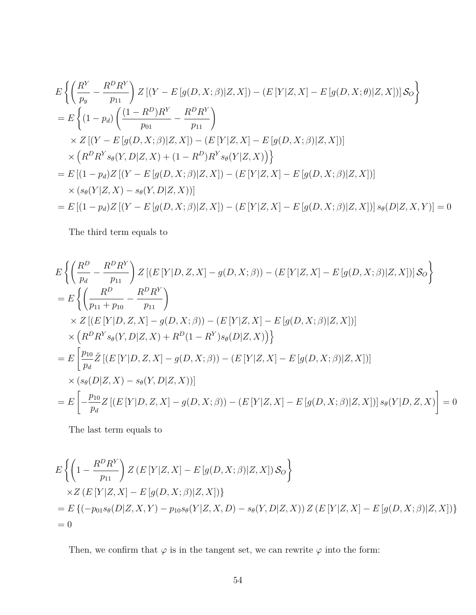$$
E\left\{\left(\frac{R^Y}{p_y} - \frac{R^D R^Y}{p_{11}}\right) Z\left[(Y - E[g(D, X; \beta)|Z, X]\right) - (E[Y|Z, X] - E[g(D, X; \theta)|Z, X])\right] S_O\right\}
$$
  
\n
$$
= E\left\{\left(1 - p_d\right) \left(\frac{(1 - R^D)R^Y}{p_{01}} - \frac{R^D R^Y}{p_{11}}\right)
$$
  
\n
$$
\times Z\left[(Y - E[g(D, X; \beta)|Z, X]\right) - (E[Y|Z, X] - E[g(D, X; \beta)|Z, X])\right]
$$
  
\n
$$
\times (R^D R^Y s_\theta(Y, D|Z, X) + (1 - R^D)R^Y s_\theta(Y|Z, X))\right\}
$$
  
\n
$$
= E\left[(1 - p_d)Z\left[(Y - E[g(D, X; \beta)|Z, X]\right) - (E[Y|Z, X] - E[g(D, X; \beta)|Z, X])\right]
$$
  
\n
$$
\times (s_\theta(Y|Z, X) - s_\theta(Y, D|Z, X))]
$$
  
\n
$$
= E\left[(1 - p_d)Z\left[(Y - E[g(D, X; \beta)|Z, X]\right) - (E[Y|Z, X] - E[g(D, X; \beta)|Z, X])\right] s_\theta(D|Z, X, Y)] = 0
$$

The third term equals to

$$
E\left\{\left(\frac{R^D}{p_d} - \frac{R^D R^Y}{p_{11}}\right) Z\left[(E[Y|D, Z, X] - g(D, X; \beta)) - (E[Y|Z, X] - E[g(D, X; \beta)|Z, X]\right) | S_O\right\}
$$
  
\n
$$
= E\left\{\left(\frac{R^D}{p_{11} + p_{10}} - \frac{R^D R^Y}{p_{11}}\right) \times Z\left[(E[Y|D, Z, X] - g(D, X; \beta)) - (E[Y|Z, X] - E[g(D, X; \beta)|Z, X]\right) \right\}
$$
  
\n
$$
\times \left(R^D R^Y s_\theta(Y, D|Z, X) + R^D(1 - R^Y) s_\theta(D|Z, X)\right)\right\}
$$
  
\n
$$
= E\left[\frac{p_{10}}{p_d} \tilde{Z}\left[(E[Y|D, Z, X] - g(D, X; \beta)) - (E[Y|Z, X] - E[g(D, X; \beta)|Z, X]\right)\right]
$$
  
\n
$$
\times (s_\theta(D|Z, X) - s_\theta(Y, D|Z, X))]
$$
  
\n
$$
= E\left[-\frac{p_{10}}{p_d} Z\left[(E[Y|D, Z, X] - g(D, X; \beta)) - (E[Y|Z, X] - E[g(D, X; \beta)|Z, X]\right) | s_\theta(Y|D, Z, X)\right] = 0
$$

The last term equals to

$$
E\left\{ \left( 1 - \frac{R^D R^Y}{p_{11}} \right) Z \left( E\left[ Y|Z, X \right] - E\left[ g(D, X; \beta) | Z, X \right] \right) \mathcal{S}_O \right\}
$$
  
\n
$$
\times Z \left( E\left[ Y|Z, X \right] - E\left[ g(D, X; \beta) | Z, X \right] \right)\}
$$
  
\n
$$
= E\left\{ \left( -p_{01} s_\theta(D|Z, X, Y) - p_{10} s_\theta(Y|Z, X, D) - s_\theta(Y, D|Z, X) \right) Z \left( E\left[ Y|Z, X \right] - E\left[ g(D, X; \beta) | Z, X \right] \right) \right\}
$$
  
\n
$$
= 0
$$

Then, we confirm that  $\varphi$  is in the tangent set, we can rewrite  $\varphi$  into the form: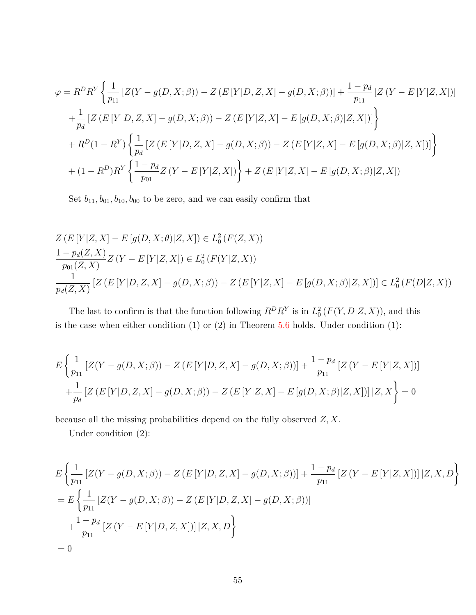$$
\varphi = R^{D}R^{Y} \left\{ \frac{1}{p_{11}} \left[ Z(Y - g(D, X; \beta)) - Z(E[Y|D, Z, X] - g(D, X; \beta)) \right] + \frac{1 - p_{d}}{p_{11}} \left[ Z(Y - E[Y|Z, X]) \right] \right\}
$$
  
+ 
$$
\frac{1}{p_{d}} \left[ Z(E[Y|D, Z, X] - g(D, X; \beta)) - Z(E[Y|Z, X] - E[g(D, X; \beta)|Z, X]) \right] \right\}
$$
  
+ 
$$
R^{D}(1 - R^{Y}) \left\{ \frac{1}{p_{d}} \left[ Z(E[Y|D, Z, X] - g(D, X; \beta)) - Z(E[Y|Z, X] - E[g(D, X; \beta)|Z, X]) \right] \right\}
$$
  
+ 
$$
(1 - R^{D})R^{Y} \left\{ \frac{1 - p_{d}}{p_{01}} Z(Y - E[Y|Z, X]) \right\} + Z(E[Y|Z, X] - E[g(D, X; \beta)|Z, X])
$$

Set  $b_{11}, b_{01}, b_{10}, b_{00}$  to be zero, and we can easily confirm that

$$
Z(E[Y|Z, X] - E[g(D, X; \theta)|Z, X]) \in L_0^2(F(Z, X))
$$
  
\n
$$
\frac{1 - p_d(Z, X)}{p_{01}(Z, X)} Z(Y - E[Y|Z, X]) \in L_0^2(F(Y|Z, X))
$$
  
\n
$$
\frac{1}{p_d(Z, X)} [Z(E[Y|D, Z, X] - g(D, X; \beta)) - Z(E[Y|Z, X] - E[g(D, X; \beta)|Z, X])] \in L_0^2(F(D|Z, X))
$$

The last to confirm is that the function following  $R^D R^Y$  is in  $L^2_0(F(Y, D|Z, X))$ , and this is the case when either condition  $(1)$  or  $(2)$  in Theorem [5.6](#page-20-1) holds. Under condition  $(1)$ :

$$
E\left\{\frac{1}{p_{11}}\left[Z(Y-g(D,X;\beta)) - Z(E[Y|D,Z,X] - g(D,X;\beta))\right] + \frac{1-p_d}{p_{11}}\left[Z(Y-E[Y|Z,X])\right] + \frac{1}{p_d}\left[Z(E[Y|D,Z,X] - g(D,X;\beta)) - Z(E[Y|Z,X] - E[g(D,X;\beta)|Z,X])\right]|Z,X\right\} = 0
$$

because all the missing probabilities depend on the fully observed *Z, X*.

Under condition (2):

$$
E\left\{\frac{1}{p_{11}}\left[Z(Y-g(D,X;\beta)) - Z(E[Y|D,Z,X] - g(D,X;\beta))\right] + \frac{1-p_d}{p_{11}}\left[Z(Y - E[Y|Z,X])\right]\left|Z,X,D\right\}\right\}
$$
  
= 
$$
E\left\{\frac{1}{p_{11}}\left[Z(Y-g(D,X;\beta)) - Z(E[Y|D,Z,X] - g(D,X;\beta))\right]
$$
  
+ 
$$
\frac{1-p_d}{p_{11}}\left[Z(Y - E[Y|D,Z,X])\right]\left|Z,X,D\right\}\right\}
$$
  
= 0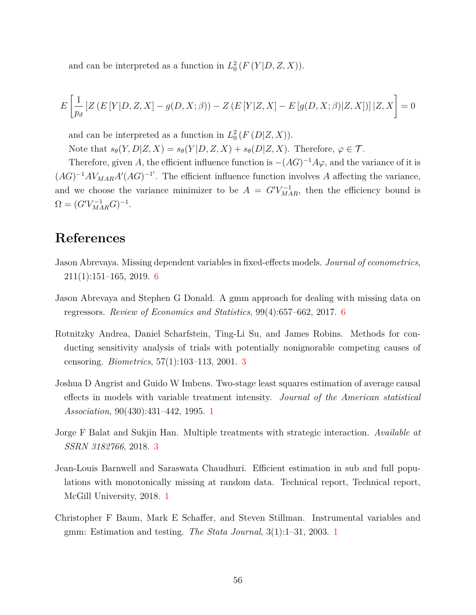and can be interpreted as a function in  $L_0^2(F(Y|D, Z, X))$ .

$$
E\left[\frac{1}{p_d} \left[ Z\left( E\left[ Y | D, Z, X \right] - g(D, X; \beta \right) \right) - Z\left( E\left[ Y | Z, X \right] - E\left[ g(D, X; \beta) | Z, X \right] \right) \right] | Z, X \right] = 0
$$

and can be interpreted as a function in  $L_0^2(F(D|Z,X))$ .

Note that  $s_{\theta}(Y, D|Z, X) = s_{\theta}(Y|D, Z, X) + s_{\theta}(D|Z, X)$ . Therefore,  $\varphi \in \mathcal{T}$ .

Therefore, given A, the efficient influence function is  $-(AG)^{-1}A\varphi$ , and the variance of it is  $(AG)^{-1}AV_{MAR}A'(AG)^{-1'}$ . The efficient influence function involves *A* affecting the variance, and we choose the variance minimizer to be  $A = G'V_{MAR}^{-1}$ , then the efficiency bound is  $\Omega = (G'V_{MAR}^{-1}G)^{-1}.$ 

# **References**

- <span id="page-55-5"></span>Jason Abrevaya. Missing dependent variables in fixed-effects models. *Journal of econometrics*, 211(1):151–165, 2019. [6](#page-6-1)
- <span id="page-55-4"></span>Jason Abrevaya and Stephen G Donald. A gmm approach for dealing with missing data on regressors. *Review of Economics and Statistics*, 99(4):657–662, 2017. [6](#page-6-1)
- <span id="page-55-3"></span>Rotnitzky Andrea, Daniel Scharfstein, Ting-Li Su, and James Robins. Methods for conducting sensitivity analysis of trials with potentially nonignorable competing causes of censoring. *Biometrics*, 57(1):103–113, 2001. [3](#page-5-0)
- <span id="page-55-1"></span>Joshua D Angrist and Guido W Imbens. Two-stage least squares estimation of average causal effects in models with variable treatment intensity. *Journal of the American statistical Association*, 90(430):431–442, 1995. [1](#page-0-0)
- <span id="page-55-6"></span>Jorge F Balat and Sukjin Han. Multiple treatments with strategic interaction. *Available at SSRN 3182766*, 2018. [3](#page-9-3)
- <span id="page-55-0"></span>Jean-Louis Barnwell and Saraswata Chaudhuri. Efficient estimation in sub and full populations with monotonically missing at random data. Technical report, Technical report, McGill University, 2018. [1](#page-0-0)
- <span id="page-55-2"></span>Christopher F Baum, Mark E Schaffer, and Steven Stillman. Instrumental variables and gmm: Estimation and testing. *The Stata Journal*, 3(1):1–31, 2003. [1](#page-0-0)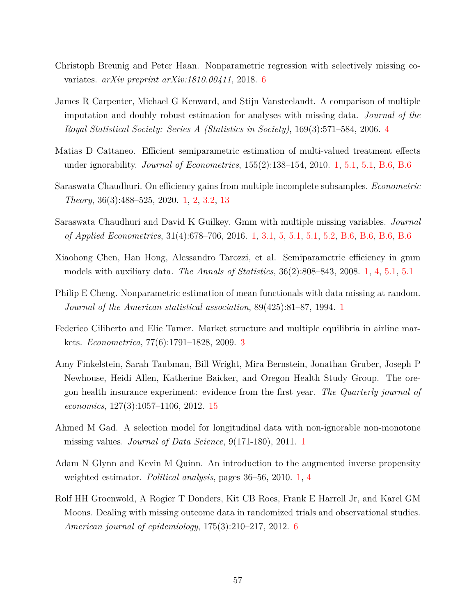- <span id="page-56-7"></span>Christoph Breunig and Peter Haan. Nonparametric regression with selectively missing covariates. *arXiv preprint arXiv:1810.00411*, 2018. [6](#page-6-1)
- <span id="page-56-10"></span>James R Carpenter, Michael G Kenward, and Stijn Vansteelandt. A comparison of multiple imputation and doubly robust estimation for analyses with missing data. *Journal of the Royal Statistical Society: Series A (Statistics in Society)*, 169(3):571–584, 2006. [4](#page-13-0)
- <span id="page-56-4"></span>Matias D Cattaneo. Efficient semiparametric estimation of multi-valued treatment effects under ignorability. *Journal of Econometrics*, 155(2):138–154, 2010. [1,](#page-0-0) [5.1,](#page-18-1) [5.1,](#page-19-0) [B.6,](#page-47-2) [B.6](#page-49-1)
- <span id="page-56-0"></span>Saraswata Chaudhuri. On efficiency gains from multiple incomplete subsamples. *Econometric Theory*, 36(3):488–525, 2020. [1,](#page-0-0) [2,](#page-3-0) [3.2,](#page-10-0) [13](#page-15-0)
- <span id="page-56-5"></span>Saraswata Chaudhuri and David K Guilkey. Gmm with multiple missing variables. *Journal of Applied Econometrics*, 31(4):678–706, 2016. [1,](#page-0-0) [3.1,](#page-9-4) [5,](#page-17-0) [5.1,](#page-18-1) [5.1,](#page-19-0) [5.2,](#page-20-2) [B.6,](#page-47-2) [B.6,](#page-47-1) [B.6,](#page-48-1) [B.6](#page-49-0)
- <span id="page-56-3"></span>Xiaohong Chen, Han Hong, Alessandro Tarozzi, et al. Semiparametric efficiency in gmm models with auxiliary data. *The Annals of Statistics*, 36(2):808–843, 2008. [1,](#page-0-0) [4,](#page-13-0) [5.1,](#page-17-2) [5.1](#page-18-1)
- <span id="page-56-1"></span>Philip E Cheng. Nonparametric estimation of mean functionals with data missing at random. *Journal of the American statistical association*, 89(425):81–87, 1994. [1](#page-0-0)
- <span id="page-56-9"></span>Federico Ciliberto and Elie Tamer. Market structure and multiple equilibria in airline markets. *Econometrica*, 77(6):1791–1828, 2009. [3](#page-9-3)
- <span id="page-56-11"></span>Amy Finkelstein, Sarah Taubman, Bill Wright, Mira Bernstein, Jonathan Gruber, Joseph P Newhouse, Heidi Allen, Katherine Baicker, and Oregon Health Study Group. The oregon health insurance experiment: evidence from the first year. *The Quarterly journal of economics*, 127(3):1057–1106, 2012. [15](#page-24-0)
- <span id="page-56-6"></span>Ahmed M Gad. A selection model for longitudinal data with non-ignorable non-monotone missing values. *Journal of Data Science*, 9(171-180), 2011. [1](#page-0-0)
- <span id="page-56-2"></span>Adam N Glynn and Kevin M Quinn. An introduction to the augmented inverse propensity weighted estimator. *Political analysis*, pages 36–56, 2010. [1,](#page-0-0) [4](#page-13-0)
- <span id="page-56-8"></span>Rolf HH Groenwold, A Rogier T Donders, Kit CB Roes, Frank E Harrell Jr, and Karel GM Moons. Dealing with missing outcome data in randomized trials and observational studies. *American journal of epidemiology*, 175(3):210–217, 2012. [6](#page-6-1)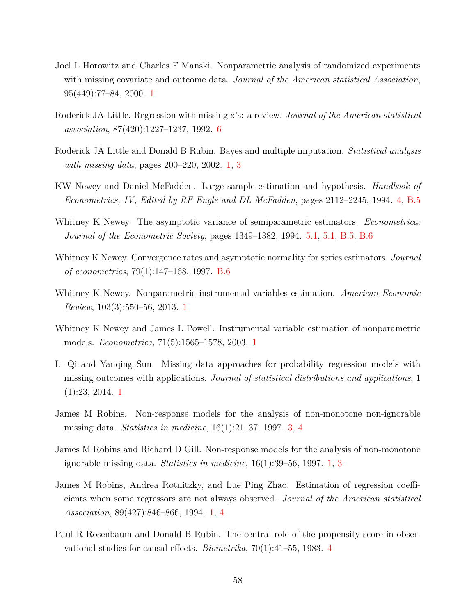- <span id="page-57-5"></span>Joel L Horowitz and Charles F Manski. Nonparametric analysis of randomized experiments with missing covariate and outcome data. *Journal of the American statistical Association*, 95(449):77–84, 2000. [1](#page-0-0)
- <span id="page-57-9"></span>Roderick JA Little. Regression with missing x's: a review. *Journal of the American statistical association*, 87(420):1227–1237, 1992. [6](#page-6-1)
- <span id="page-57-0"></span>Roderick JA Little and Donald B Rubin. Bayes and multiple imputation. *Statistical analysis with missing data*, pages 200–220, 2002. [1,](#page-0-0) [3](#page-7-0)
- <span id="page-57-7"></span>KW Newey and Daniel McFadden. Large sample estimation and hypothesis. *Handbook of Econometrics, IV, Edited by RF Engle and DL McFadden*, pages 2112–2245, 1994. [4,](#page-5-2) [B.5](#page-42-0)
- <span id="page-57-11"></span>Whitney K Newey. The asymptotic variance of semiparametric estimators. *Econometrica: Journal of the Econometric Society*, pages 1349–1382, 1994. [5.1,](#page-18-0) [5.1,](#page-18-1) [B.5,](#page-42-0) [B.6](#page-47-2)
- <span id="page-57-12"></span>Whitney K Newey. Convergence rates and asymptotic normality for series estimators. *Journal of econometrics*, 79(1):147–168, 1997. [B.6](#page-47-2)
- <span id="page-57-3"></span>Whitney K Newey. Nonparametric instrumental variables estimation. *American Economic Review*, 103(3):550–56, 2013. [1](#page-0-0)
- <span id="page-57-2"></span>Whitney K Newey and James L Powell. Instrumental variable estimation of nonparametric models. *Econometrica*, 71(5):1565–1578, 2003. [1](#page-0-0)
- <span id="page-57-1"></span>Li Qi and Yanqing Sun. Missing data approaches for probability regression models with missing outcomes with applications. *Journal of statistical distributions and applications*, 1 (1):23, 2014. [1](#page-0-0)
- <span id="page-57-8"></span>James M Robins. Non-response models for the analysis of non-monotone non-ignorable missing data. *Statistics in medicine*, 16(1):21–37, 1997. [3,](#page-7-0) [4](#page-13-0)
- <span id="page-57-6"></span>James M Robins and Richard D Gill. Non-response models for the analysis of non-monotone ignorable missing data. *Statistics in medicine*, 16(1):39–56, 1997. [1,](#page-0-0) [3](#page-7-0)
- <span id="page-57-4"></span>James M Robins, Andrea Rotnitzky, and Lue Ping Zhao. Estimation of regression coefficients when some regressors are not always observed. *Journal of the American statistical Association*, 89(427):846–866, 1994. [1,](#page-0-0) [4](#page-13-0)
- <span id="page-57-10"></span>Paul R Rosenbaum and Donald B Rubin. The central role of the propensity score in observational studies for causal effects. *Biometrika*, 70(1):41–55, 1983. [4](#page-13-0)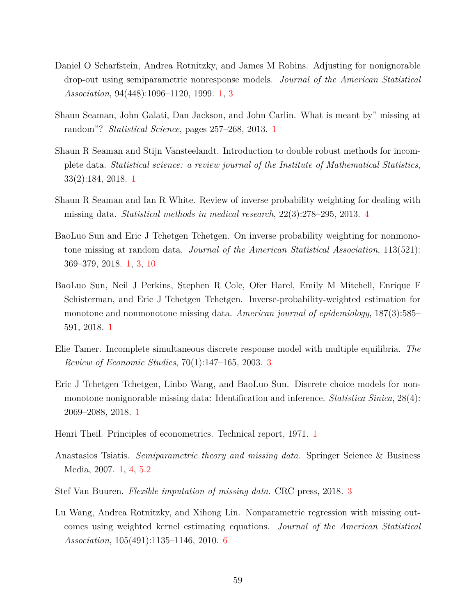- <span id="page-58-3"></span>Daniel O Scharfstein, Andrea Rotnitzky, and James M Robins. Adjusting for nonignorable drop-out using semiparametric nonresponse models. *Journal of the American Statistical Association*, 94(448):1096–1120, 1999. [1,](#page-0-0) [3](#page-5-0)
- <span id="page-58-2"></span>Shaun Seaman, John Galati, Dan Jackson, and John Carlin. What is meant by" missing at random"? *Statistical Science*, pages 257–268, 2013. [1](#page-0-0)
- <span id="page-58-4"></span>Shaun R Seaman and Stijn Vansteelandt. Introduction to double robust methods for incomplete data. *Statistical science: a review journal of the Institute of Mathematical Statistics*, 33(2):184, 2018. [1](#page-0-0)
- <span id="page-58-11"></span>Shaun R Seaman and Ian R White. Review of inverse probability weighting for dealing with missing data. *Statistical methods in medical research*, 22(3):278–295, 2013. [4](#page-13-0)
- <span id="page-58-5"></span>BaoLuo Sun and Eric J Tchetgen Tchetgen. On inverse probability weighting for nonmonotone missing at random data. *Journal of the American Statistical Association*, 113(521): 369–379, 2018. [1,](#page-0-0) [3,](#page-7-0) [10](#page-9-2)
- <span id="page-58-7"></span>BaoLuo Sun, Neil J Perkins, Stephen R Cole, Ofer Harel, Emily M Mitchell, Enrique F Schisterman, and Eric J Tchetgen Tchetgen. Inverse-probability-weighted estimation for monotone and nonmonotone missing data. *American journal of epidemiology*, 187(3):585– 591, 2018. [1](#page-0-0)
- <span id="page-58-10"></span>Elie Tamer. Incomplete simultaneous discrete response model with multiple equilibria. *The Review of Economic Studies*, 70(1):147–165, 2003. [3](#page-9-3)
- <span id="page-58-6"></span>Eric J Tchetgen Tchetgen, Linbo Wang, and BaoLuo Sun. Discrete choice models for nonmonotone nonignorable missing data: Identification and inference. *Statistica Sinica*, 28(4): 2069–2088, 2018. [1](#page-0-0)
- <span id="page-58-1"></span>Henri Theil. Principles of econometrics. Technical report, 1971. [1](#page-0-0)
- <span id="page-58-0"></span>Anastasios Tsiatis. *Semiparametric theory and missing data*. Springer Science & Business Media, 2007. [1,](#page-0-0) [4,](#page-13-0) [5.2](#page-20-2)
- <span id="page-58-8"></span>Stef Van Buuren. *Flexible imputation of missing data*. CRC press, 2018. [3](#page-5-0)
- <span id="page-58-9"></span>Lu Wang, Andrea Rotnitzky, and Xihong Lin. Nonparametric regression with missing outcomes using weighted kernel estimating equations. *Journal of the American Statistical Association*, 105(491):1135–1146, 2010. [6](#page-6-1)